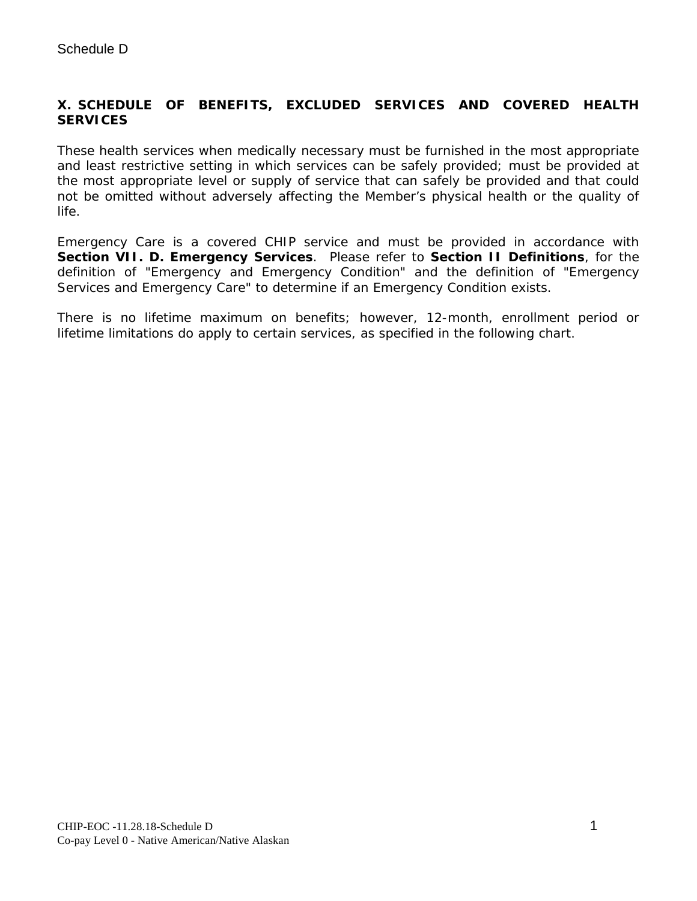## **X. SCHEDULE OF BENEFITS, EXCLUDED SERVICES AND COVERED HEALTH SERVICES**

These health services when medically necessary must be furnished in the most appropriate and least restrictive setting in which services can be safely provided; must be provided at the most appropriate level or supply of service that can safely be provided and that could not be omitted without adversely affecting the Member's physical health or the quality of life.

Emergency Care is a covered CHIP service and must be provided in accordance with **Section VII. D. Emergency Services**. Please refer to **Section II Definitions**, for the definition of "Emergency and Emergency Condition" and the definition of "Emergency Services and Emergency Care" to determine if an Emergency Condition exists.

There is no lifetime maximum on benefits; however, 12-month, enrollment period or lifetime limitations do apply to certain services, as specified in the following chart.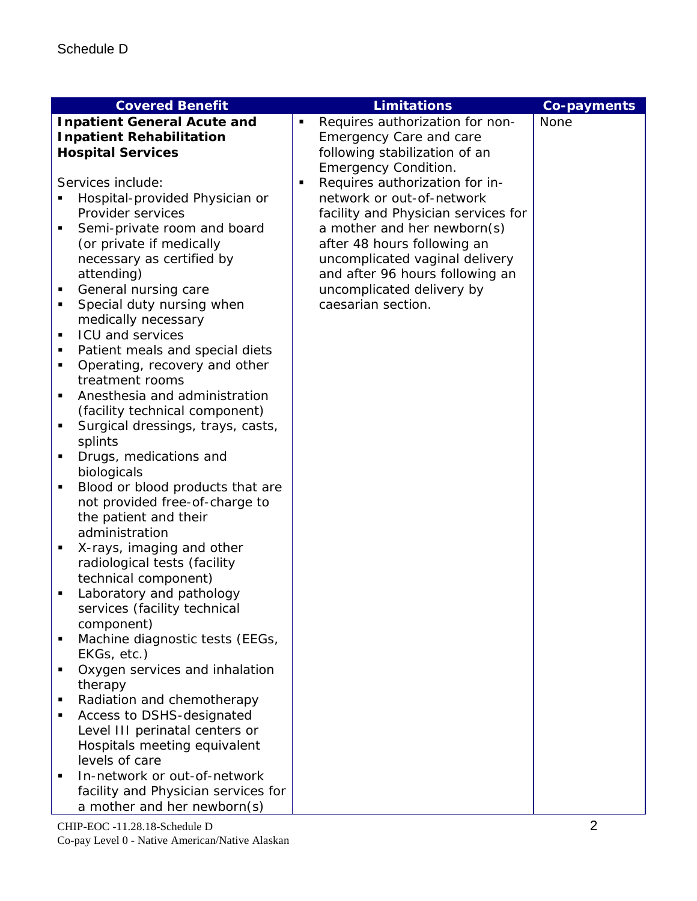|                                 | <b>Covered Benefit</b>              |   | <b>Limitations</b>                  | <b>Co-payments</b> |
|---------------------------------|-------------------------------------|---|-------------------------------------|--------------------|
|                                 | <b>Inpatient General Acute and</b>  |   | Requires authorization for non-     | <b>None</b>        |
| <b>Inpatient Rehabilitation</b> |                                     |   | <b>Emergency Care and care</b>      |                    |
|                                 | <b>Hospital Services</b>            |   | following stabilization of an       |                    |
|                                 |                                     |   | <b>Emergency Condition.</b>         |                    |
|                                 | Services include:                   | ٠ | Requires authorization for in-      |                    |
|                                 | Hospital-provided Physician or      |   | network or out-of-network           |                    |
|                                 | Provider services                   |   | facility and Physician services for |                    |
| ٠                               | Semi-private room and board         |   | a mother and her newborn(s)         |                    |
|                                 | (or private if medically            |   | after 48 hours following an         |                    |
|                                 | necessary as certified by           |   | uncomplicated vaginal delivery      |                    |
|                                 | attending)                          |   | and after 96 hours following an     |                    |
| $\blacksquare$                  | General nursing care                |   | uncomplicated delivery by           |                    |
| ٠                               | Special duty nursing when           |   | caesarian section.                  |                    |
|                                 | medically necessary                 |   |                                     |                    |
| ٠                               | <b>ICU and services</b>             |   |                                     |                    |
| ٠                               | Patient meals and special diets     |   |                                     |                    |
| ٠                               | Operating, recovery and other       |   |                                     |                    |
|                                 | treatment rooms                     |   |                                     |                    |
| ٠                               | Anesthesia and administration       |   |                                     |                    |
|                                 | (facility technical component)      |   |                                     |                    |
| ٠                               | Surgical dressings, trays, casts,   |   |                                     |                    |
|                                 | splints                             |   |                                     |                    |
| ٠                               | Drugs, medications and              |   |                                     |                    |
|                                 | biologicals                         |   |                                     |                    |
| $\blacksquare$                  | Blood or blood products that are    |   |                                     |                    |
|                                 | not provided free-of-charge to      |   |                                     |                    |
|                                 | the patient and their               |   |                                     |                    |
|                                 | administration                      |   |                                     |                    |
|                                 | X-rays, imaging and other           |   |                                     |                    |
|                                 | radiological tests (facility        |   |                                     |                    |
|                                 | technical component)                |   |                                     |                    |
| ٠                               | Laboratory and pathology            |   |                                     |                    |
|                                 | services (facility technical        |   |                                     |                    |
|                                 | component)                          |   |                                     |                    |
|                                 | Machine diagnostic tests (EEGs,     |   |                                     |                    |
|                                 | EKGs, etc.)                         |   |                                     |                    |
|                                 | Oxygen services and inhalation      |   |                                     |                    |
|                                 | therapy                             |   |                                     |                    |
| ٠                               | Radiation and chemotherapy          |   |                                     |                    |
|                                 | Access to DSHS-designated           |   |                                     |                    |
|                                 | Level III perinatal centers or      |   |                                     |                    |
|                                 | Hospitals meeting equivalent        |   |                                     |                    |
|                                 | levels of care                      |   |                                     |                    |
|                                 | In-network or out-of-network        |   |                                     |                    |
|                                 | facility and Physician services for |   |                                     |                    |
|                                 | a mother and her newborn(s)         |   |                                     |                    |
|                                 | CHIP-EOC -11.28.18-Schedule D       |   |                                     | $\overline{2}$     |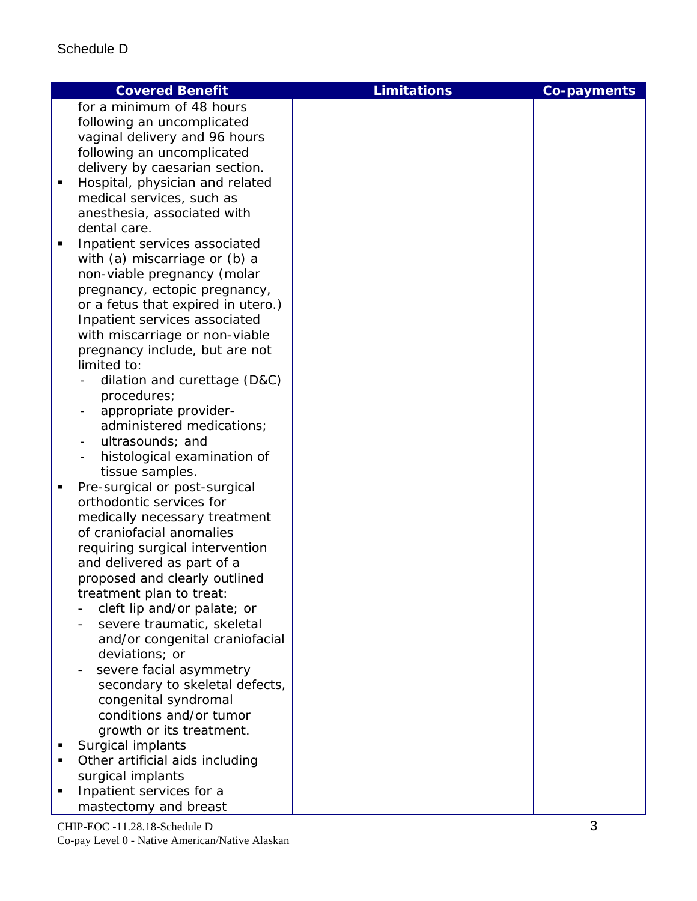| for a minimum of 48 hours<br>following an uncomplicated<br>vaginal delivery and 96 hours<br>following an uncomplicated<br>delivery by caesarian section.<br>Hospital, physician and related<br>٠<br>medical services, such as<br>anesthesia, associated with<br>dental care.<br>Inpatient services associated<br>Ξ<br>with (a) miscarriage or (b) a<br>non-viable pregnancy (molar<br>pregnancy, ectopic pregnancy,<br>or a fetus that expired in utero.)<br>Inpatient services associated<br>with miscarriage or non-viable<br>pregnancy include, but are not<br>limited to:<br>dilation and curettage (D&C)<br>procedures;<br>appropriate provider-<br>administered medications;<br>ultrasounds; and<br>۰<br>histological examination of<br>$\overline{\phantom{a}}$<br>tissue samples.<br>Pre-surgical or post-surgical<br>٠<br>orthodontic services for<br>medically necessary treatment<br>of craniofacial anomalies<br>requiring surgical intervention<br>and delivered as part of a<br>proposed and clearly outlined<br>treatment plan to treat:<br>cleft lip and/or palate; or<br>severe traumatic, skeletal<br>and/or congenital craniofacial<br>deviations; or<br>severe facial asymmetry<br>secondary to skeletal defects,<br>congenital syndromal<br>conditions and/or tumor | <b>Covered Benefit</b> | <b>Limitations</b> | <b>Co-payments</b> |
|------------------------------------------------------------------------------------------------------------------------------------------------------------------------------------------------------------------------------------------------------------------------------------------------------------------------------------------------------------------------------------------------------------------------------------------------------------------------------------------------------------------------------------------------------------------------------------------------------------------------------------------------------------------------------------------------------------------------------------------------------------------------------------------------------------------------------------------------------------------------------------------------------------------------------------------------------------------------------------------------------------------------------------------------------------------------------------------------------------------------------------------------------------------------------------------------------------------------------------------------------------------------------------------|------------------------|--------------------|--------------------|
|                                                                                                                                                                                                                                                                                                                                                                                                                                                                                                                                                                                                                                                                                                                                                                                                                                                                                                                                                                                                                                                                                                                                                                                                                                                                                          |                        |                    |                    |
|                                                                                                                                                                                                                                                                                                                                                                                                                                                                                                                                                                                                                                                                                                                                                                                                                                                                                                                                                                                                                                                                                                                                                                                                                                                                                          |                        |                    |                    |
|                                                                                                                                                                                                                                                                                                                                                                                                                                                                                                                                                                                                                                                                                                                                                                                                                                                                                                                                                                                                                                                                                                                                                                                                                                                                                          |                        |                    |                    |
|                                                                                                                                                                                                                                                                                                                                                                                                                                                                                                                                                                                                                                                                                                                                                                                                                                                                                                                                                                                                                                                                                                                                                                                                                                                                                          |                        |                    |                    |
|                                                                                                                                                                                                                                                                                                                                                                                                                                                                                                                                                                                                                                                                                                                                                                                                                                                                                                                                                                                                                                                                                                                                                                                                                                                                                          |                        |                    |                    |
|                                                                                                                                                                                                                                                                                                                                                                                                                                                                                                                                                                                                                                                                                                                                                                                                                                                                                                                                                                                                                                                                                                                                                                                                                                                                                          |                        |                    |                    |
|                                                                                                                                                                                                                                                                                                                                                                                                                                                                                                                                                                                                                                                                                                                                                                                                                                                                                                                                                                                                                                                                                                                                                                                                                                                                                          |                        |                    |                    |
|                                                                                                                                                                                                                                                                                                                                                                                                                                                                                                                                                                                                                                                                                                                                                                                                                                                                                                                                                                                                                                                                                                                                                                                                                                                                                          |                        |                    |                    |
|                                                                                                                                                                                                                                                                                                                                                                                                                                                                                                                                                                                                                                                                                                                                                                                                                                                                                                                                                                                                                                                                                                                                                                                                                                                                                          |                        |                    |                    |
|                                                                                                                                                                                                                                                                                                                                                                                                                                                                                                                                                                                                                                                                                                                                                                                                                                                                                                                                                                                                                                                                                                                                                                                                                                                                                          |                        |                    |                    |
|                                                                                                                                                                                                                                                                                                                                                                                                                                                                                                                                                                                                                                                                                                                                                                                                                                                                                                                                                                                                                                                                                                                                                                                                                                                                                          |                        |                    |                    |
|                                                                                                                                                                                                                                                                                                                                                                                                                                                                                                                                                                                                                                                                                                                                                                                                                                                                                                                                                                                                                                                                                                                                                                                                                                                                                          |                        |                    |                    |
|                                                                                                                                                                                                                                                                                                                                                                                                                                                                                                                                                                                                                                                                                                                                                                                                                                                                                                                                                                                                                                                                                                                                                                                                                                                                                          |                        |                    |                    |
|                                                                                                                                                                                                                                                                                                                                                                                                                                                                                                                                                                                                                                                                                                                                                                                                                                                                                                                                                                                                                                                                                                                                                                                                                                                                                          |                        |                    |                    |
|                                                                                                                                                                                                                                                                                                                                                                                                                                                                                                                                                                                                                                                                                                                                                                                                                                                                                                                                                                                                                                                                                                                                                                                                                                                                                          |                        |                    |                    |
|                                                                                                                                                                                                                                                                                                                                                                                                                                                                                                                                                                                                                                                                                                                                                                                                                                                                                                                                                                                                                                                                                                                                                                                                                                                                                          |                        |                    |                    |
|                                                                                                                                                                                                                                                                                                                                                                                                                                                                                                                                                                                                                                                                                                                                                                                                                                                                                                                                                                                                                                                                                                                                                                                                                                                                                          |                        |                    |                    |
|                                                                                                                                                                                                                                                                                                                                                                                                                                                                                                                                                                                                                                                                                                                                                                                                                                                                                                                                                                                                                                                                                                                                                                                                                                                                                          |                        |                    |                    |
|                                                                                                                                                                                                                                                                                                                                                                                                                                                                                                                                                                                                                                                                                                                                                                                                                                                                                                                                                                                                                                                                                                                                                                                                                                                                                          |                        |                    |                    |
|                                                                                                                                                                                                                                                                                                                                                                                                                                                                                                                                                                                                                                                                                                                                                                                                                                                                                                                                                                                                                                                                                                                                                                                                                                                                                          |                        |                    |                    |
|                                                                                                                                                                                                                                                                                                                                                                                                                                                                                                                                                                                                                                                                                                                                                                                                                                                                                                                                                                                                                                                                                                                                                                                                                                                                                          |                        |                    |                    |
|                                                                                                                                                                                                                                                                                                                                                                                                                                                                                                                                                                                                                                                                                                                                                                                                                                                                                                                                                                                                                                                                                                                                                                                                                                                                                          |                        |                    |                    |
|                                                                                                                                                                                                                                                                                                                                                                                                                                                                                                                                                                                                                                                                                                                                                                                                                                                                                                                                                                                                                                                                                                                                                                                                                                                                                          |                        |                    |                    |
|                                                                                                                                                                                                                                                                                                                                                                                                                                                                                                                                                                                                                                                                                                                                                                                                                                                                                                                                                                                                                                                                                                                                                                                                                                                                                          |                        |                    |                    |
|                                                                                                                                                                                                                                                                                                                                                                                                                                                                                                                                                                                                                                                                                                                                                                                                                                                                                                                                                                                                                                                                                                                                                                                                                                                                                          |                        |                    |                    |
|                                                                                                                                                                                                                                                                                                                                                                                                                                                                                                                                                                                                                                                                                                                                                                                                                                                                                                                                                                                                                                                                                                                                                                                                                                                                                          |                        |                    |                    |
|                                                                                                                                                                                                                                                                                                                                                                                                                                                                                                                                                                                                                                                                                                                                                                                                                                                                                                                                                                                                                                                                                                                                                                                                                                                                                          |                        |                    |                    |
|                                                                                                                                                                                                                                                                                                                                                                                                                                                                                                                                                                                                                                                                                                                                                                                                                                                                                                                                                                                                                                                                                                                                                                                                                                                                                          |                        |                    |                    |
|                                                                                                                                                                                                                                                                                                                                                                                                                                                                                                                                                                                                                                                                                                                                                                                                                                                                                                                                                                                                                                                                                                                                                                                                                                                                                          |                        |                    |                    |
|                                                                                                                                                                                                                                                                                                                                                                                                                                                                                                                                                                                                                                                                                                                                                                                                                                                                                                                                                                                                                                                                                                                                                                                                                                                                                          |                        |                    |                    |
|                                                                                                                                                                                                                                                                                                                                                                                                                                                                                                                                                                                                                                                                                                                                                                                                                                                                                                                                                                                                                                                                                                                                                                                                                                                                                          |                        |                    |                    |
|                                                                                                                                                                                                                                                                                                                                                                                                                                                                                                                                                                                                                                                                                                                                                                                                                                                                                                                                                                                                                                                                                                                                                                                                                                                                                          |                        |                    |                    |
|                                                                                                                                                                                                                                                                                                                                                                                                                                                                                                                                                                                                                                                                                                                                                                                                                                                                                                                                                                                                                                                                                                                                                                                                                                                                                          |                        |                    |                    |
|                                                                                                                                                                                                                                                                                                                                                                                                                                                                                                                                                                                                                                                                                                                                                                                                                                                                                                                                                                                                                                                                                                                                                                                                                                                                                          |                        |                    |                    |
|                                                                                                                                                                                                                                                                                                                                                                                                                                                                                                                                                                                                                                                                                                                                                                                                                                                                                                                                                                                                                                                                                                                                                                                                                                                                                          |                        |                    |                    |
|                                                                                                                                                                                                                                                                                                                                                                                                                                                                                                                                                                                                                                                                                                                                                                                                                                                                                                                                                                                                                                                                                                                                                                                                                                                                                          |                        |                    |                    |
|                                                                                                                                                                                                                                                                                                                                                                                                                                                                                                                                                                                                                                                                                                                                                                                                                                                                                                                                                                                                                                                                                                                                                                                                                                                                                          |                        |                    |                    |
|                                                                                                                                                                                                                                                                                                                                                                                                                                                                                                                                                                                                                                                                                                                                                                                                                                                                                                                                                                                                                                                                                                                                                                                                                                                                                          |                        |                    |                    |
|                                                                                                                                                                                                                                                                                                                                                                                                                                                                                                                                                                                                                                                                                                                                                                                                                                                                                                                                                                                                                                                                                                                                                                                                                                                                                          |                        |                    |                    |
|                                                                                                                                                                                                                                                                                                                                                                                                                                                                                                                                                                                                                                                                                                                                                                                                                                                                                                                                                                                                                                                                                                                                                                                                                                                                                          |                        |                    |                    |
|                                                                                                                                                                                                                                                                                                                                                                                                                                                                                                                                                                                                                                                                                                                                                                                                                                                                                                                                                                                                                                                                                                                                                                                                                                                                                          |                        |                    |                    |
| growth or its treatment.                                                                                                                                                                                                                                                                                                                                                                                                                                                                                                                                                                                                                                                                                                                                                                                                                                                                                                                                                                                                                                                                                                                                                                                                                                                                 |                        |                    |                    |
| Surgical implants<br>Ξ                                                                                                                                                                                                                                                                                                                                                                                                                                                                                                                                                                                                                                                                                                                                                                                                                                                                                                                                                                                                                                                                                                                                                                                                                                                                   |                        |                    |                    |
| Other artificial aids including                                                                                                                                                                                                                                                                                                                                                                                                                                                                                                                                                                                                                                                                                                                                                                                                                                                                                                                                                                                                                                                                                                                                                                                                                                                          |                        |                    |                    |
| surgical implants                                                                                                                                                                                                                                                                                                                                                                                                                                                                                                                                                                                                                                                                                                                                                                                                                                                                                                                                                                                                                                                                                                                                                                                                                                                                        |                        |                    |                    |
| Inpatient services for a<br>٠                                                                                                                                                                                                                                                                                                                                                                                                                                                                                                                                                                                                                                                                                                                                                                                                                                                                                                                                                                                                                                                                                                                                                                                                                                                            |                        |                    |                    |
| mastectomy and breast                                                                                                                                                                                                                                                                                                                                                                                                                                                                                                                                                                                                                                                                                                                                                                                                                                                                                                                                                                                                                                                                                                                                                                                                                                                                    |                        |                    |                    |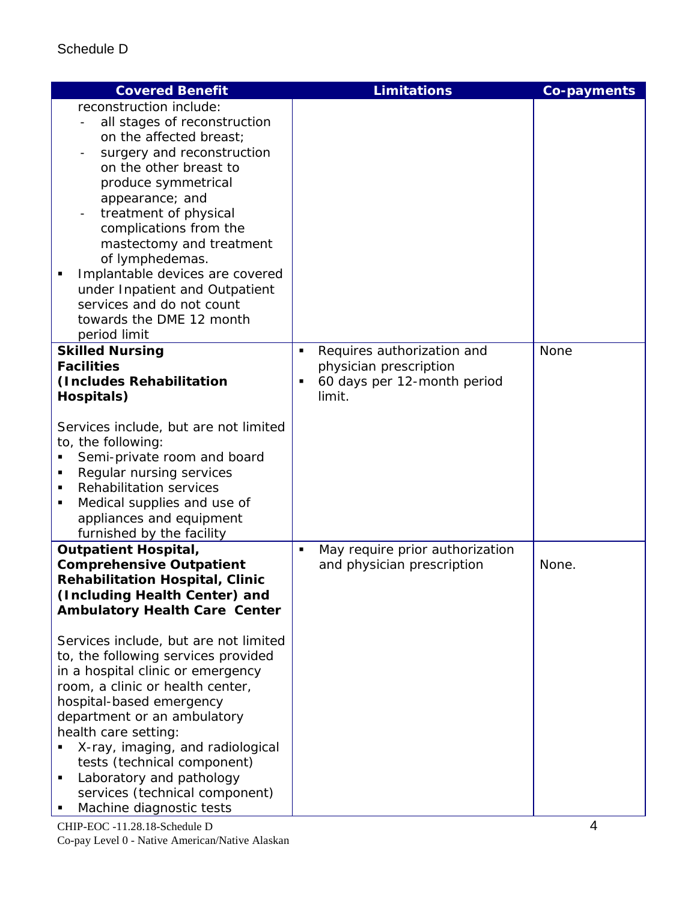| <b>Covered Benefit</b>                                                                                                                                                                                                                                                                                                                                                                                                                                                                                                                                                                     | <b>Limitations</b>                                                                                                   | <b>Co-payments</b> |
|--------------------------------------------------------------------------------------------------------------------------------------------------------------------------------------------------------------------------------------------------------------------------------------------------------------------------------------------------------------------------------------------------------------------------------------------------------------------------------------------------------------------------------------------------------------------------------------------|----------------------------------------------------------------------------------------------------------------------|--------------------|
| reconstruction include:<br>all stages of reconstruction<br>on the affected breast;<br>surgery and reconstruction<br>on the other breast to<br>produce symmetrical<br>appearance; and<br>treatment of physical<br>complications from the<br>mastectomy and treatment<br>of lymphedemas.<br>Implantable devices are covered<br>under Inpatient and Outpatient<br>services and do not count<br>towards the DME 12 month<br>period limit                                                                                                                                                       |                                                                                                                      |                    |
| <b>Skilled Nursing</b><br><b>Facilities</b><br>(Includes Rehabilitation<br>Hospitals)<br>Services include, but are not limited<br>to, the following:<br>Semi-private room and board<br>Regular nursing services<br>Rehabilitation services<br>Medical supplies and use of<br>٠<br>appliances and equipment<br>furnished by the facility                                                                                                                                                                                                                                                    | Requires authorization and<br>$\blacksquare$<br>physician prescription<br>60 days per 12-month period<br>٠<br>limit. | <b>None</b>        |
| <b>Outpatient Hospital,</b><br><b>Comprehensive Outpatient</b><br><b>Rehabilitation Hospital, Clinic</b><br>(Including Health Center) and<br><b>Ambulatory Health Care Center</b><br>Services include, but are not limited<br>to, the following services provided<br>in a hospital clinic or emergency<br>room, a clinic or health center,<br>hospital-based emergency<br>department or an ambulatory<br>health care setting:<br>X-ray, imaging, and radiological<br>tests (technical component)<br>Laboratory and pathology<br>services (technical component)<br>Machine diagnostic tests | May require prior authorization<br>$\blacksquare$<br>and physician prescription                                      | None.              |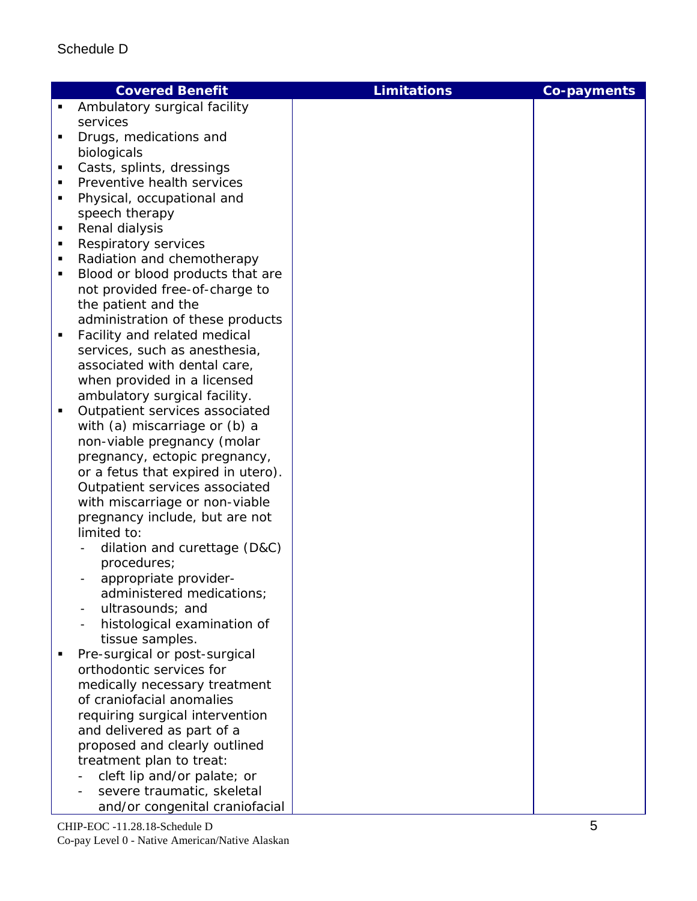|   | <b>Covered Benefit</b>                             | <b>Limitations</b> | <b>Co-payments</b> |
|---|----------------------------------------------------|--------------------|--------------------|
| ٠ | Ambulatory surgical facility                       |                    |                    |
|   | services                                           |                    |                    |
| п | Drugs, medications and                             |                    |                    |
|   | biologicals                                        |                    |                    |
| п | Casts, splints, dressings                          |                    |                    |
|   | Preventive health services                         |                    |                    |
|   | Physical, occupational and                         |                    |                    |
|   | speech therapy                                     |                    |                    |
| п | Renal dialysis                                     |                    |                    |
|   | Respiratory services                               |                    |                    |
|   | Radiation and chemotherapy                         |                    |                    |
| п | Blood or blood products that are                   |                    |                    |
|   | not provided free-of-charge to                     |                    |                    |
|   | the patient and the                                |                    |                    |
|   | administration of these products                   |                    |                    |
| ٠ | Facility and related medical                       |                    |                    |
|   | services, such as anesthesia,                      |                    |                    |
|   | associated with dental care,                       |                    |                    |
|   | when provided in a licensed                        |                    |                    |
|   | ambulatory surgical facility.                      |                    |                    |
| п | Outpatient services associated                     |                    |                    |
|   | with (a) miscarriage or (b) a                      |                    |                    |
|   | non-viable pregnancy (molar                        |                    |                    |
|   | pregnancy, ectopic pregnancy,                      |                    |                    |
|   | or a fetus that expired in utero).                 |                    |                    |
|   | Outpatient services associated                     |                    |                    |
|   | with miscarriage or non-viable                     |                    |                    |
|   | pregnancy include, but are not                     |                    |                    |
|   | limited to:                                        |                    |                    |
|   | dilation and curettage (D&C)                       |                    |                    |
|   | procedures;                                        |                    |                    |
|   | appropriate provider-<br>administered medications; |                    |                    |
|   | ultrasounds; and                                   |                    |                    |
|   | histological examination of                        |                    |                    |
|   | tissue samples.                                    |                    |                    |
|   | Pre-surgical or post-surgical                      |                    |                    |
|   | orthodontic services for                           |                    |                    |
|   | medically necessary treatment                      |                    |                    |
|   | of craniofacial anomalies                          |                    |                    |
|   | requiring surgical intervention                    |                    |                    |
|   | and delivered as part of a                         |                    |                    |
|   | proposed and clearly outlined                      |                    |                    |
|   | treatment plan to treat:                           |                    |                    |
|   | cleft lip and/or palate; or                        |                    |                    |
|   | severe traumatic, skeletal                         |                    |                    |
|   | and/or congenital craniofacial                     |                    |                    |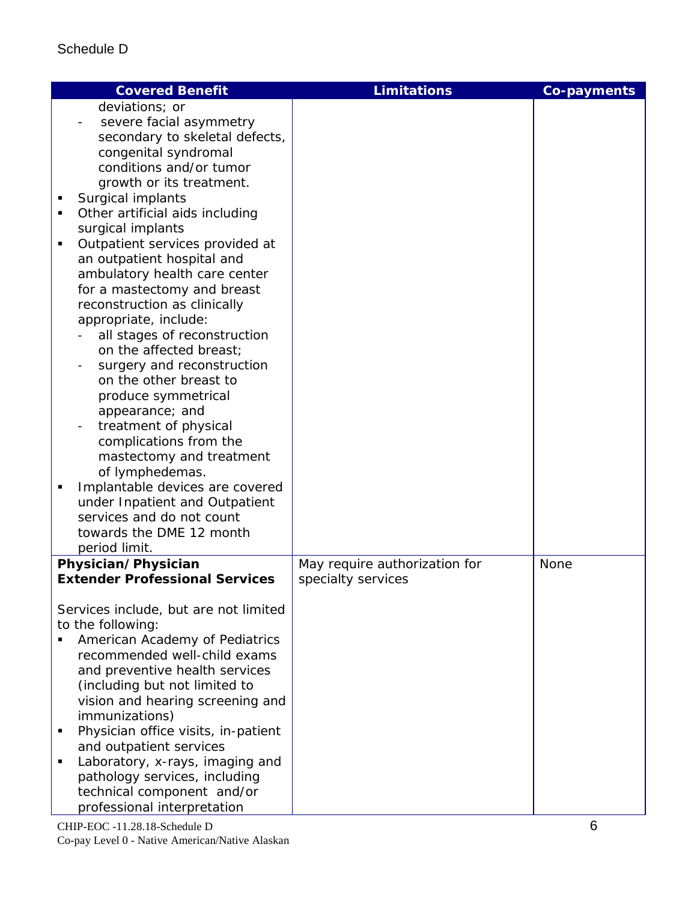| <b>Covered Benefit</b>                                  | <b>Limitations</b>            | Co-payments |
|---------------------------------------------------------|-------------------------------|-------------|
| deviations; or                                          |                               |             |
| severe facial asymmetry                                 |                               |             |
| secondary to skeletal defects,                          |                               |             |
| congenital syndromal                                    |                               |             |
| conditions and/or tumor                                 |                               |             |
| growth or its treatment.                                |                               |             |
| Surgical implants                                       |                               |             |
| Other artificial aids including                         |                               |             |
| surgical implants                                       |                               |             |
| Outpatient services provided at<br>٠                    |                               |             |
| an outpatient hospital and                              |                               |             |
| ambulatory health care center                           |                               |             |
| for a mastectomy and breast                             |                               |             |
| reconstruction as clinically                            |                               |             |
|                                                         |                               |             |
| appropriate, include:                                   |                               |             |
| all stages of reconstruction<br>on the affected breast; |                               |             |
|                                                         |                               |             |
| surgery and reconstruction                              |                               |             |
| on the other breast to                                  |                               |             |
| produce symmetrical                                     |                               |             |
| appearance; and                                         |                               |             |
| treatment of physical                                   |                               |             |
| complications from the                                  |                               |             |
| mastectomy and treatment                                |                               |             |
| of lymphedemas.                                         |                               |             |
| Implantable devices are covered                         |                               |             |
| under Inpatient and Outpatient                          |                               |             |
| services and do not count                               |                               |             |
| towards the DME 12 month                                |                               |             |
| period limit.                                           |                               |             |
| Physician/Physician                                     | May require authorization for | None        |
| <b>Extender Professional Services</b>                   | specialty services            |             |
|                                                         |                               |             |
| Services include, but are not limited                   |                               |             |
| to the following:                                       |                               |             |
| American Academy of Pediatrics                          |                               |             |
| recommended well-child exams                            |                               |             |
| and preventive health services                          |                               |             |
| (including but not limited to                           |                               |             |
| vision and hearing screening and                        |                               |             |
| immunizations)                                          |                               |             |
| Physician office visits, in-patient                     |                               |             |
| and outpatient services                                 |                               |             |
| Laboratory, x-rays, imaging and                         |                               |             |
| pathology services, including                           |                               |             |
| technical component and/or                              |                               |             |
| professional interpretation                             |                               |             |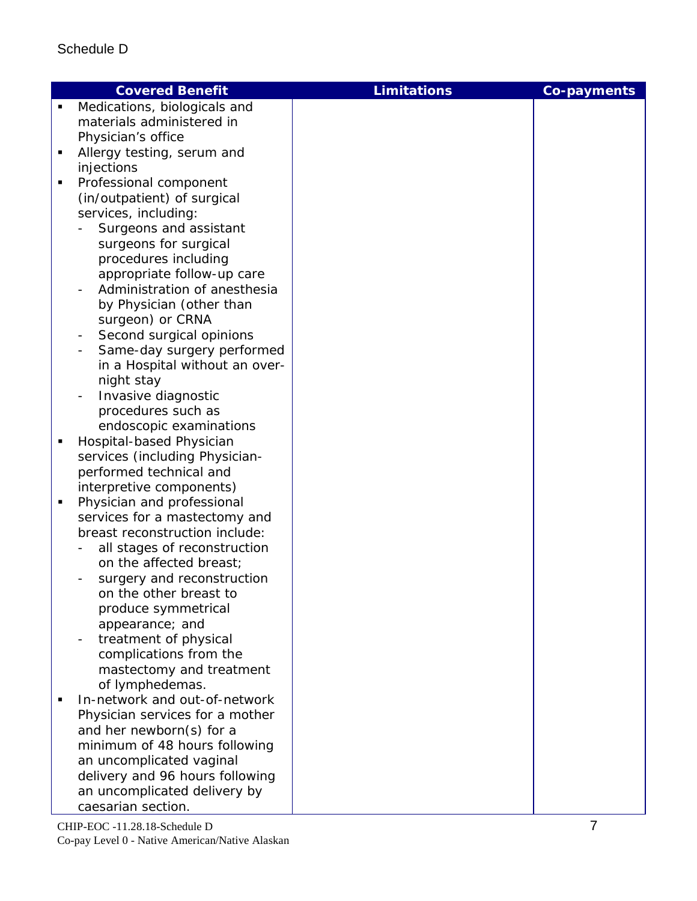| Medications, biologicals and<br>materials administered in<br>Physician's office<br>Allergy testing, serum and<br>٠<br>injections<br>Professional component<br>(in/outpatient) of surgical<br>services, including:<br>Surgeons and assistant<br>surgeons for surgical<br>procedures including<br>appropriate follow-up care<br>Administration of anesthesia<br>by Physician (other than<br>surgeon) or CRNA<br>Second surgical opinions<br>$\qquad \qquad \blacksquare$<br>Same-day surgery performed<br>$\overline{\phantom{a}}$<br>in a Hospital without an over- | <b>Co-payments</b> |
|--------------------------------------------------------------------------------------------------------------------------------------------------------------------------------------------------------------------------------------------------------------------------------------------------------------------------------------------------------------------------------------------------------------------------------------------------------------------------------------------------------------------------------------------------------------------|--------------------|
|                                                                                                                                                                                                                                                                                                                                                                                                                                                                                                                                                                    |                    |
|                                                                                                                                                                                                                                                                                                                                                                                                                                                                                                                                                                    |                    |
|                                                                                                                                                                                                                                                                                                                                                                                                                                                                                                                                                                    |                    |
|                                                                                                                                                                                                                                                                                                                                                                                                                                                                                                                                                                    |                    |
|                                                                                                                                                                                                                                                                                                                                                                                                                                                                                                                                                                    |                    |
|                                                                                                                                                                                                                                                                                                                                                                                                                                                                                                                                                                    |                    |
|                                                                                                                                                                                                                                                                                                                                                                                                                                                                                                                                                                    |                    |
|                                                                                                                                                                                                                                                                                                                                                                                                                                                                                                                                                                    |                    |
|                                                                                                                                                                                                                                                                                                                                                                                                                                                                                                                                                                    |                    |
|                                                                                                                                                                                                                                                                                                                                                                                                                                                                                                                                                                    |                    |
|                                                                                                                                                                                                                                                                                                                                                                                                                                                                                                                                                                    |                    |
|                                                                                                                                                                                                                                                                                                                                                                                                                                                                                                                                                                    |                    |
|                                                                                                                                                                                                                                                                                                                                                                                                                                                                                                                                                                    |                    |
|                                                                                                                                                                                                                                                                                                                                                                                                                                                                                                                                                                    |                    |
|                                                                                                                                                                                                                                                                                                                                                                                                                                                                                                                                                                    |                    |
|                                                                                                                                                                                                                                                                                                                                                                                                                                                                                                                                                                    |                    |
|                                                                                                                                                                                                                                                                                                                                                                                                                                                                                                                                                                    |                    |
|                                                                                                                                                                                                                                                                                                                                                                                                                                                                                                                                                                    |                    |
| night stay                                                                                                                                                                                                                                                                                                                                                                                                                                                                                                                                                         |                    |
| Invasive diagnostic                                                                                                                                                                                                                                                                                                                                                                                                                                                                                                                                                |                    |
| procedures such as                                                                                                                                                                                                                                                                                                                                                                                                                                                                                                                                                 |                    |
| endoscopic examinations                                                                                                                                                                                                                                                                                                                                                                                                                                                                                                                                            |                    |
| Hospital-based Physician<br>٠                                                                                                                                                                                                                                                                                                                                                                                                                                                                                                                                      |                    |
| services (including Physician-                                                                                                                                                                                                                                                                                                                                                                                                                                                                                                                                     |                    |
| performed technical and                                                                                                                                                                                                                                                                                                                                                                                                                                                                                                                                            |                    |
| interpretive components)                                                                                                                                                                                                                                                                                                                                                                                                                                                                                                                                           |                    |
| Physician and professional                                                                                                                                                                                                                                                                                                                                                                                                                                                                                                                                         |                    |
| services for a mastectomy and                                                                                                                                                                                                                                                                                                                                                                                                                                                                                                                                      |                    |
| breast reconstruction include:                                                                                                                                                                                                                                                                                                                                                                                                                                                                                                                                     |                    |
| all stages of reconstruction                                                                                                                                                                                                                                                                                                                                                                                                                                                                                                                                       |                    |
| on the affected breast;                                                                                                                                                                                                                                                                                                                                                                                                                                                                                                                                            |                    |
| surgery and reconstruction                                                                                                                                                                                                                                                                                                                                                                                                                                                                                                                                         |                    |
| on the other breast to                                                                                                                                                                                                                                                                                                                                                                                                                                                                                                                                             |                    |
| produce symmetrical                                                                                                                                                                                                                                                                                                                                                                                                                                                                                                                                                |                    |
| appearance; and                                                                                                                                                                                                                                                                                                                                                                                                                                                                                                                                                    |                    |
| treatment of physical                                                                                                                                                                                                                                                                                                                                                                                                                                                                                                                                              |                    |
| complications from the                                                                                                                                                                                                                                                                                                                                                                                                                                                                                                                                             |                    |
| mastectomy and treatment                                                                                                                                                                                                                                                                                                                                                                                                                                                                                                                                           |                    |
| of lymphedemas.<br>In-network and out-of-network                                                                                                                                                                                                                                                                                                                                                                                                                                                                                                                   |                    |
|                                                                                                                                                                                                                                                                                                                                                                                                                                                                                                                                                                    |                    |
| Physician services for a mother                                                                                                                                                                                                                                                                                                                                                                                                                                                                                                                                    |                    |
| and her newborn(s) for a<br>minimum of 48 hours following                                                                                                                                                                                                                                                                                                                                                                                                                                                                                                          |                    |
| an uncomplicated vaginal                                                                                                                                                                                                                                                                                                                                                                                                                                                                                                                                           |                    |
| delivery and 96 hours following                                                                                                                                                                                                                                                                                                                                                                                                                                                                                                                                    |                    |
| an uncomplicated delivery by                                                                                                                                                                                                                                                                                                                                                                                                                                                                                                                                       |                    |
| caesarian section.                                                                                                                                                                                                                                                                                                                                                                                                                                                                                                                                                 |                    |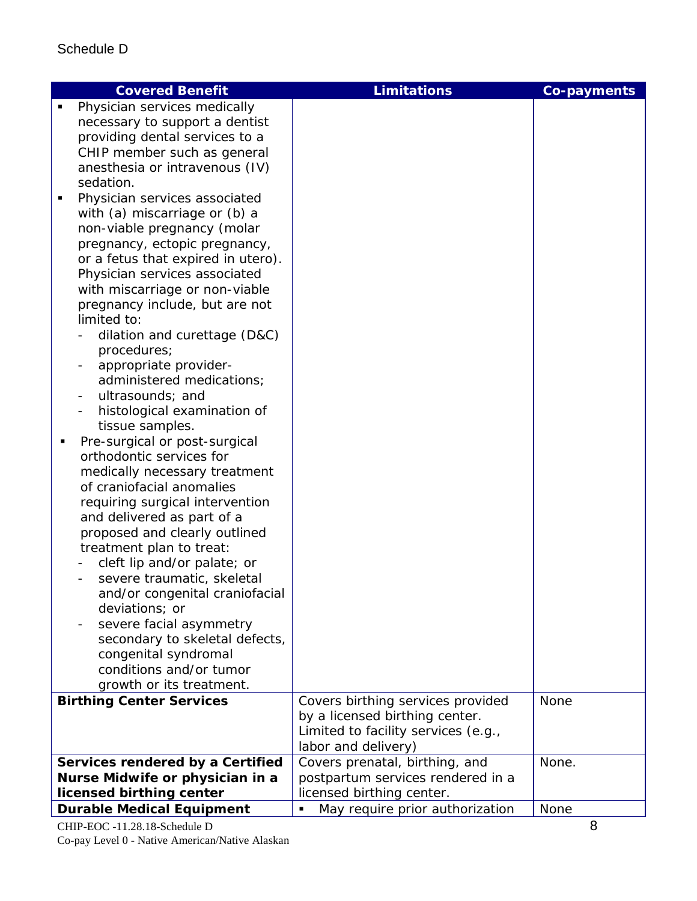| <b>Covered Benefit</b>                                         | <b>Limitations</b>                                | <b>Co-payments</b> |
|----------------------------------------------------------------|---------------------------------------------------|--------------------|
| Physician services medically<br>٠                              |                                                   |                    |
| necessary to support a dentist                                 |                                                   |                    |
| providing dental services to a                                 |                                                   |                    |
| CHIP member such as general                                    |                                                   |                    |
| anesthesia or intravenous (IV)                                 |                                                   |                    |
| sedation.                                                      |                                                   |                    |
| Physician services associated                                  |                                                   |                    |
| with (a) miscarriage or (b) a                                  |                                                   |                    |
| non-viable pregnancy (molar                                    |                                                   |                    |
| pregnancy, ectopic pregnancy,                                  |                                                   |                    |
| or a fetus that expired in utero).                             |                                                   |                    |
| Physician services associated                                  |                                                   |                    |
| with miscarriage or non-viable                                 |                                                   |                    |
| pregnancy include, but are not                                 |                                                   |                    |
| limited to:                                                    |                                                   |                    |
| dilation and curettage (D&C)                                   |                                                   |                    |
| procedures;                                                    |                                                   |                    |
| appropriate provider-                                          |                                                   |                    |
| administered medications;                                      |                                                   |                    |
| ultrasounds; and<br>$\overline{\phantom{a}}$                   |                                                   |                    |
| histological examination of                                    |                                                   |                    |
| tissue samples.                                                |                                                   |                    |
| Pre-surgical or post-surgical<br>٠<br>orthodontic services for |                                                   |                    |
|                                                                |                                                   |                    |
| medically necessary treatment<br>of craniofacial anomalies     |                                                   |                    |
| requiring surgical intervention                                |                                                   |                    |
| and delivered as part of a                                     |                                                   |                    |
| proposed and clearly outlined                                  |                                                   |                    |
| treatment plan to treat:                                       |                                                   |                    |
| cleft lip and/or palate; or                                    |                                                   |                    |
| severe traumatic, skeletal                                     |                                                   |                    |
| and/or congenital craniofacial                                 |                                                   |                    |
| deviations; or                                                 |                                                   |                    |
| severe facial asymmetry                                        |                                                   |                    |
| secondary to skeletal defects,                                 |                                                   |                    |
| congenital syndromal                                           |                                                   |                    |
| conditions and/or tumor                                        |                                                   |                    |
| growth or its treatment.                                       |                                                   |                    |
| <b>Birthing Center Services</b>                                | Covers birthing services provided                 | None               |
|                                                                | by a licensed birthing center.                    |                    |
|                                                                | Limited to facility services (e.g.,               |                    |
|                                                                | labor and delivery)                               |                    |
| Services rendered by a Certified                               | Covers prenatal, birthing, and                    | None.              |
| Nurse Midwife or physician in a                                | postpartum services rendered in a                 |                    |
| licensed birthing center                                       | licensed birthing center.                         |                    |
| <b>Durable Medical Equipment</b>                               | May require prior authorization<br>$\blacksquare$ | None               |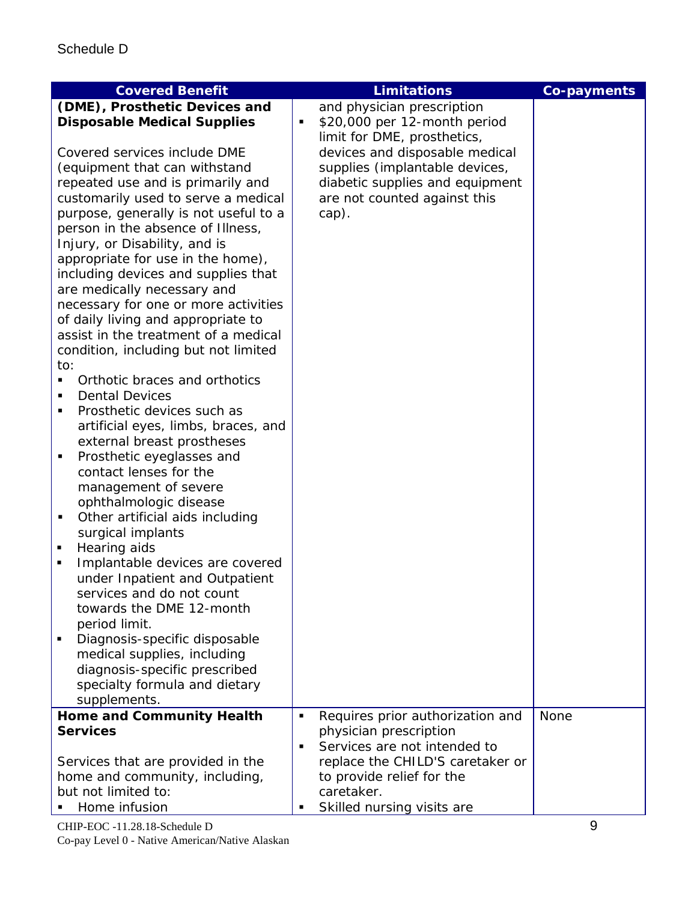| <b>Co-payments</b><br>(DME), Prosthetic Devices and<br>and physician prescription<br><b>Disposable Medical Supplies</b><br>\$20,000 per 12-month period<br>٠<br>limit for DME, prosthetics, |  |
|---------------------------------------------------------------------------------------------------------------------------------------------------------------------------------------------|--|
|                                                                                                                                                                                             |  |
|                                                                                                                                                                                             |  |
|                                                                                                                                                                                             |  |
| Covered services include DME<br>devices and disposable medical                                                                                                                              |  |
| supplies (implantable devices,<br>(equipment that can withstand                                                                                                                             |  |
| diabetic supplies and equipment<br>repeated use and is primarily and                                                                                                                        |  |
| customarily used to serve a medical<br>are not counted against this                                                                                                                         |  |
| purpose, generally is not useful to a<br>cap).                                                                                                                                              |  |
| person in the absence of Illness,                                                                                                                                                           |  |
| Injury, or Disability, and is                                                                                                                                                               |  |
| appropriate for use in the home),                                                                                                                                                           |  |
| including devices and supplies that                                                                                                                                                         |  |
| are medically necessary and                                                                                                                                                                 |  |
| necessary for one or more activities                                                                                                                                                        |  |
| of daily living and appropriate to                                                                                                                                                          |  |
| assist in the treatment of a medical                                                                                                                                                        |  |
| condition, including but not limited<br>to:                                                                                                                                                 |  |
| Orthotic braces and orthotics                                                                                                                                                               |  |
| <b>Dental Devices</b>                                                                                                                                                                       |  |
| Prosthetic devices such as<br>٠                                                                                                                                                             |  |
| artificial eyes, limbs, braces, and                                                                                                                                                         |  |
| external breast prostheses                                                                                                                                                                  |  |
| Prosthetic eyeglasses and<br>٠                                                                                                                                                              |  |
| contact lenses for the                                                                                                                                                                      |  |
| management of severe                                                                                                                                                                        |  |
| ophthalmologic disease                                                                                                                                                                      |  |
| Other artificial aids including                                                                                                                                                             |  |
| surgical implants                                                                                                                                                                           |  |
| Hearing aids                                                                                                                                                                                |  |
| Implantable devices are covered<br>٠                                                                                                                                                        |  |
| under Inpatient and Outpatient                                                                                                                                                              |  |
| services and do not count                                                                                                                                                                   |  |
| towards the DME 12-month                                                                                                                                                                    |  |
| period limit.                                                                                                                                                                               |  |
| Diagnosis-specific disposable                                                                                                                                                               |  |
| medical supplies, including                                                                                                                                                                 |  |
| diagnosis-specific prescribed                                                                                                                                                               |  |
| specialty formula and dietary                                                                                                                                                               |  |
| supplements.                                                                                                                                                                                |  |
| <b>Home and Community Health</b><br><b>None</b><br>Requires prior authorization and<br>$\blacksquare$                                                                                       |  |
| <b>Services</b><br>physician prescription                                                                                                                                                   |  |
| Services are not intended to<br>$\blacksquare$                                                                                                                                              |  |
| replace the CHILD'S caretaker or<br>Services that are provided in the                                                                                                                       |  |
| home and community, including,<br>to provide relief for the<br>but not limited to:<br>caretaker.                                                                                            |  |
| Home infusion<br>Skilled nursing visits are<br>٠                                                                                                                                            |  |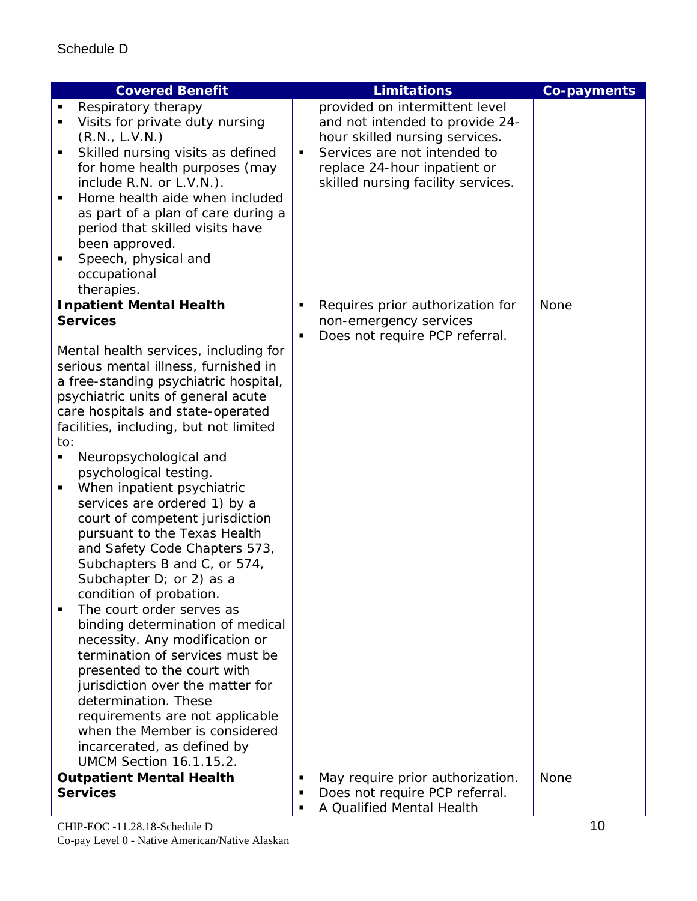| <b>Covered Benefit</b>                      | <b>Limitations</b>                               | Co-payments |
|---------------------------------------------|--------------------------------------------------|-------------|
| Respiratory therapy                         | provided on intermittent level                   |             |
| Visits for private duty nursing             | and not intended to provide 24-                  |             |
| (R.N., L.V.N.)                              | hour skilled nursing services.                   |             |
| Skilled nursing visits as defined<br>٠      | Services are not intended to<br>$\blacksquare$   |             |
| for home health purposes (may               | replace 24-hour inpatient or                     |             |
| include R.N. or L.V.N.).                    | skilled nursing facility services.               |             |
| Home health aide when included<br>٠         |                                                  |             |
| as part of a plan of care during a          |                                                  |             |
| period that skilled visits have             |                                                  |             |
| been approved.                              |                                                  |             |
| Speech, physical and                        |                                                  |             |
| occupational                                |                                                  |             |
| therapies.                                  |                                                  |             |
| <b>Inpatient Mental Health</b>              | Requires prior authorization for<br>٠            | None        |
| <b>Services</b>                             | non-emergency services                           |             |
|                                             | Does not require PCP referral.<br>٠              |             |
| Mental health services, including for       |                                                  |             |
| serious mental illness, furnished in        |                                                  |             |
| a free-standing psychiatric hospital,       |                                                  |             |
| psychiatric units of general acute          |                                                  |             |
| care hospitals and state-operated           |                                                  |             |
| facilities, including, but not limited      |                                                  |             |
| to:                                         |                                                  |             |
| Neuropsychological and<br>п                 |                                                  |             |
| psychological testing.                      |                                                  |             |
| When inpatient psychiatric<br>п             |                                                  |             |
| services are ordered 1) by a                |                                                  |             |
| court of competent jurisdiction             |                                                  |             |
| pursuant to the Texas Health                |                                                  |             |
| and Safety Code Chapters 573,               |                                                  |             |
| Subchapters B and C, or 574,                |                                                  |             |
| Subchapter D; or 2) as a                    |                                                  |             |
| condition of probation.                     |                                                  |             |
| The court order serves as<br>$\blacksquare$ |                                                  |             |
| binding determination of medical            |                                                  |             |
| necessity. Any modification or              |                                                  |             |
| termination of services must be             |                                                  |             |
| presented to the court with                 |                                                  |             |
| jurisdiction over the matter for            |                                                  |             |
| determination. These                        |                                                  |             |
| requirements are not applicable             |                                                  |             |
| when the Member is considered               |                                                  |             |
| incarcerated, as defined by                 |                                                  |             |
| <b>UMCM Section 16.1.15.2.</b>              |                                                  |             |
| <b>Outpatient Mental Health</b>             | May require prior authorization.<br>٠            | None        |
| <b>Services</b>                             | Does not require PCP referral.<br>$\blacksquare$ |             |
|                                             | A Qualified Mental Health<br>٠                   |             |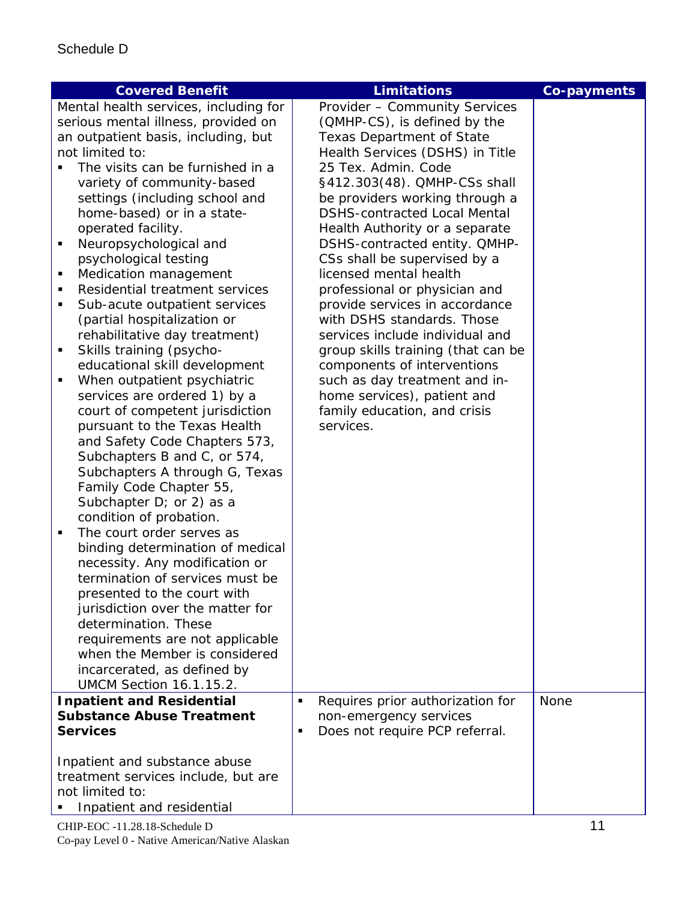| <b>Covered Benefit</b>                                                                                                                                                                                                                                                                                                                                                                                                                                                                                                                                                                                                                                                                                                                                                                                                                                                                                                                                                                                                                                                                                                                                                                                                                                                                                                  | <b>Limitations</b>                                                                                                                                                                                                                                                                                                                                                                                                                                                                                                                                                                                                                                                                                                      | <b>Co-payments</b> |
|-------------------------------------------------------------------------------------------------------------------------------------------------------------------------------------------------------------------------------------------------------------------------------------------------------------------------------------------------------------------------------------------------------------------------------------------------------------------------------------------------------------------------------------------------------------------------------------------------------------------------------------------------------------------------------------------------------------------------------------------------------------------------------------------------------------------------------------------------------------------------------------------------------------------------------------------------------------------------------------------------------------------------------------------------------------------------------------------------------------------------------------------------------------------------------------------------------------------------------------------------------------------------------------------------------------------------|-------------------------------------------------------------------------------------------------------------------------------------------------------------------------------------------------------------------------------------------------------------------------------------------------------------------------------------------------------------------------------------------------------------------------------------------------------------------------------------------------------------------------------------------------------------------------------------------------------------------------------------------------------------------------------------------------------------------------|--------------------|
| Mental health services, including for<br>serious mental illness, provided on<br>an outpatient basis, including, but<br>not limited to:<br>The visits can be furnished in a<br>variety of community-based<br>settings (including school and<br>home-based) or in a state-<br>operated facility.<br>Neuropsychological and<br>п<br>psychological testing<br>Medication management<br>п<br>Residential treatment services<br>٠<br>Sub-acute outpatient services<br>٠<br>(partial hospitalization or<br>rehabilitative day treatment)<br>Skills training (psycho-<br>п<br>educational skill development<br>When outpatient psychiatric<br>٠<br>services are ordered 1) by a<br>court of competent jurisdiction<br>pursuant to the Texas Health<br>and Safety Code Chapters 573,<br>Subchapters B and C, or 574,<br>Subchapters A through G, Texas<br>Family Code Chapter 55,<br>Subchapter D; or 2) as a<br>condition of probation.<br>The court order serves as<br>$\blacksquare$<br>binding determination of medical<br>necessity. Any modification or<br>termination of services must be<br>presented to the court with<br>jurisdiction over the matter for<br>determination. These<br>requirements are not applicable<br>when the Member is considered<br>incarcerated, as defined by<br><b>UMCM Section 16.1.15.2.</b> | Provider - Community Services<br>(QMHP-CS), is defined by the<br><b>Texas Department of State</b><br>Health Services (DSHS) in Title<br>25 Tex. Admin. Code<br>§412.303(48). QMHP-CSs shall<br>be providers working through a<br><b>DSHS-contracted Local Mental</b><br>Health Authority or a separate<br>DSHS-contracted entity. QMHP-<br>CSs shall be supervised by a<br>licensed mental health<br>professional or physician and<br>provide services in accordance<br>with DSHS standards. Those<br>services include individual and<br>group skills training (that can be<br>components of interventions<br>such as day treatment and in-<br>home services), patient and<br>family education, and crisis<br>services. |                    |
| <b>Inpatient and Residential</b><br><b>Substance Abuse Treatment</b><br><b>Services</b>                                                                                                                                                                                                                                                                                                                                                                                                                                                                                                                                                                                                                                                                                                                                                                                                                                                                                                                                                                                                                                                                                                                                                                                                                                 | Requires prior authorization for<br>Ξ<br>non-emergency services<br>Does not require PCP referral.<br>$\blacksquare$                                                                                                                                                                                                                                                                                                                                                                                                                                                                                                                                                                                                     | <b>None</b>        |
| Inpatient and substance abuse<br>treatment services include, but are<br>not limited to:<br>Inpatient and residential                                                                                                                                                                                                                                                                                                                                                                                                                                                                                                                                                                                                                                                                                                                                                                                                                                                                                                                                                                                                                                                                                                                                                                                                    |                                                                                                                                                                                                                                                                                                                                                                                                                                                                                                                                                                                                                                                                                                                         |                    |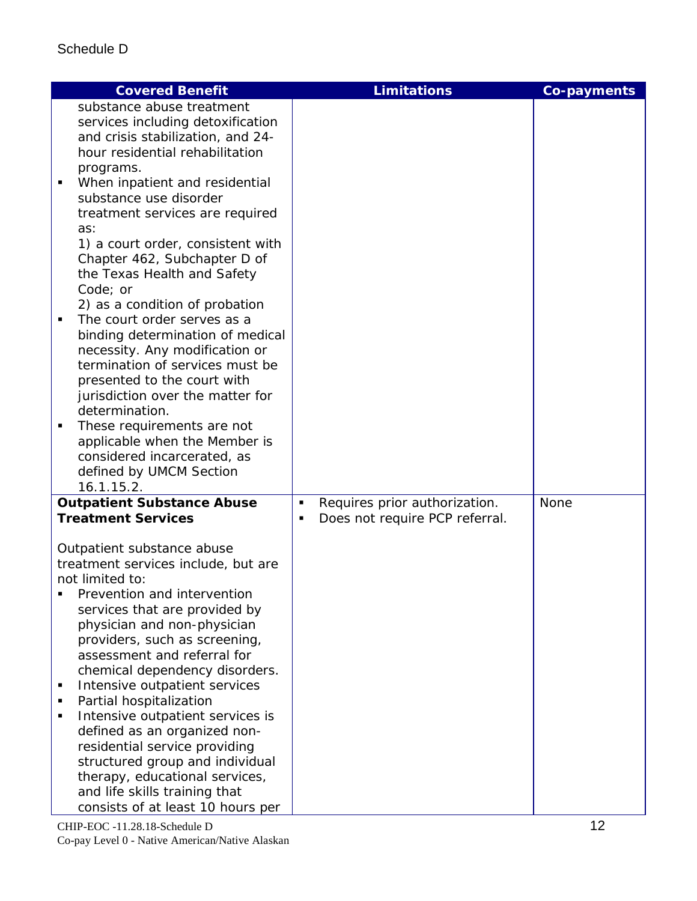| <b>Covered Benefit</b>                                                                                                                                                                                                                                                                                                                                                                                                                                                                                                                                                                                                                                                                                                                                                               | <b>Limitations</b>                                                                     | <b>Co-payments</b> |
|--------------------------------------------------------------------------------------------------------------------------------------------------------------------------------------------------------------------------------------------------------------------------------------------------------------------------------------------------------------------------------------------------------------------------------------------------------------------------------------------------------------------------------------------------------------------------------------------------------------------------------------------------------------------------------------------------------------------------------------------------------------------------------------|----------------------------------------------------------------------------------------|--------------------|
| substance abuse treatment<br>services including detoxification<br>and crisis stabilization, and 24-<br>hour residential rehabilitation<br>programs.<br>When inpatient and residential<br>substance use disorder<br>treatment services are required<br>as:<br>1) a court order, consistent with<br>Chapter 462, Subchapter D of<br>the Texas Health and Safety<br>Code; or<br>2) as a condition of probation<br>The court order serves as a<br>binding determination of medical<br>necessity. Any modification or<br>termination of services must be<br>presented to the court with<br>jurisdiction over the matter for<br>determination.<br>These requirements are not<br>٠<br>applicable when the Member is<br>considered incarcerated, as<br>defined by UMCM Section<br>16.1.15.2. |                                                                                        |                    |
| <b>Outpatient Substance Abuse</b><br><b>Treatment Services</b><br>Outpatient substance abuse<br>treatment services include, but are<br>not limited to:<br>Prevention and intervention<br>services that are provided by<br>physician and non-physician<br>providers, such as screening,<br>assessment and referral for<br>chemical dependency disorders.<br>Intensive outpatient services<br>٠<br>Partial hospitalization<br>Intensive outpatient services is<br>defined as an organized non-<br>residential service providing<br>structured group and individual<br>therapy, educational services,<br>and life skills training that<br>consists of at least 10 hours per                                                                                                             | Requires prior authorization.<br>$\blacksquare$<br>Does not require PCP referral.<br>п | None               |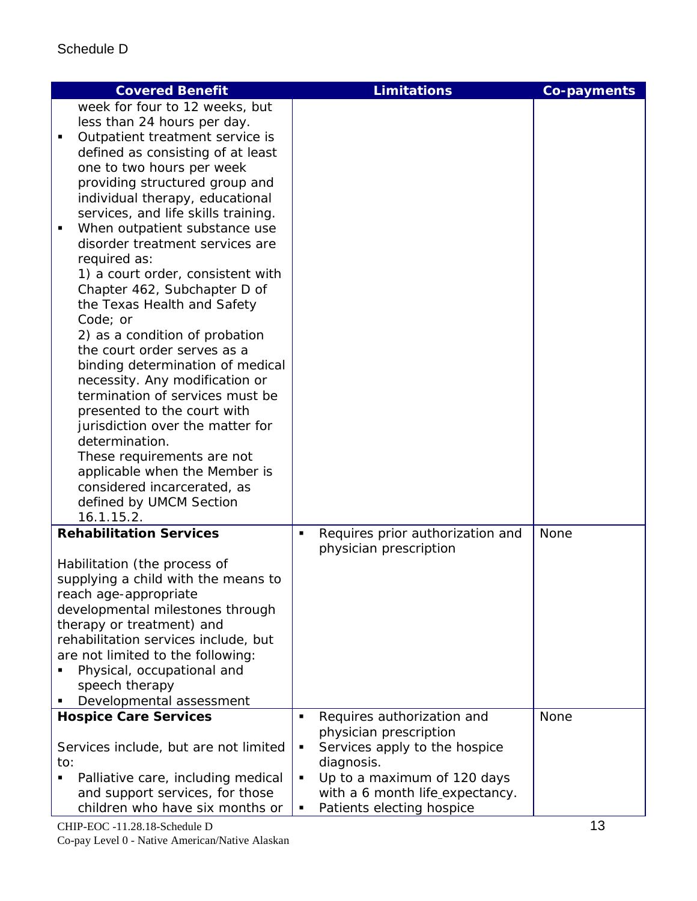| <b>Covered Benefit</b>                                             | <b>Limitations</b>                                                | <b>Co-payments</b> |
|--------------------------------------------------------------------|-------------------------------------------------------------------|--------------------|
| week for four to 12 weeks, but                                     |                                                                   |                    |
| less than 24 hours per day.                                        |                                                                   |                    |
| Outpatient treatment service is                                    |                                                                   |                    |
| defined as consisting of at least                                  |                                                                   |                    |
| one to two hours per week                                          |                                                                   |                    |
| providing structured group and                                     |                                                                   |                    |
| individual therapy, educational                                    |                                                                   |                    |
| services, and life skills training.<br>٠                           |                                                                   |                    |
| When outpatient substance use<br>disorder treatment services are   |                                                                   |                    |
| required as:                                                       |                                                                   |                    |
| 1) a court order, consistent with                                  |                                                                   |                    |
| Chapter 462, Subchapter D of                                       |                                                                   |                    |
| the Texas Health and Safety                                        |                                                                   |                    |
| Code; or                                                           |                                                                   |                    |
| 2) as a condition of probation                                     |                                                                   |                    |
| the court order serves as a                                        |                                                                   |                    |
| binding determination of medical                                   |                                                                   |                    |
| necessity. Any modification or                                     |                                                                   |                    |
| termination of services must be                                    |                                                                   |                    |
| presented to the court with                                        |                                                                   |                    |
| jurisdiction over the matter for<br>determination.                 |                                                                   |                    |
| These requirements are not                                         |                                                                   |                    |
| applicable when the Member is                                      |                                                                   |                    |
| considered incarcerated, as                                        |                                                                   |                    |
| defined by UMCM Section                                            |                                                                   |                    |
| 16.1.15.2.                                                         |                                                                   |                    |
| <b>Rehabilitation Services</b>                                     | Requires prior authorization and<br>٠                             | None               |
|                                                                    | physician prescription                                            |                    |
| Habilitation (the process of                                       |                                                                   |                    |
| supplying a child with the means to                                |                                                                   |                    |
| reach age-appropriate                                              |                                                                   |                    |
| developmental milestones through<br>therapy or treatment) and      |                                                                   |                    |
| rehabilitation services include, but                               |                                                                   |                    |
| are not limited to the following:                                  |                                                                   |                    |
| Physical, occupational and                                         |                                                                   |                    |
| speech therapy                                                     |                                                                   |                    |
| Developmental assessment                                           |                                                                   |                    |
| <b>Hospice Care Services</b>                                       | Requires authorization and<br>П                                   | None               |
|                                                                    | physician prescription                                            |                    |
| Services include, but are not limited                              | Services apply to the hospice<br>٠                                |                    |
| to:                                                                | diagnosis.                                                        |                    |
| Palliative care, including medical                                 | Up to a maximum of 120 days<br>٠                                  |                    |
| and support services, for those<br>children who have six months or | with a 6 month life_expectancy.<br>Patients electing hospice<br>٠ |                    |
|                                                                    |                                                                   |                    |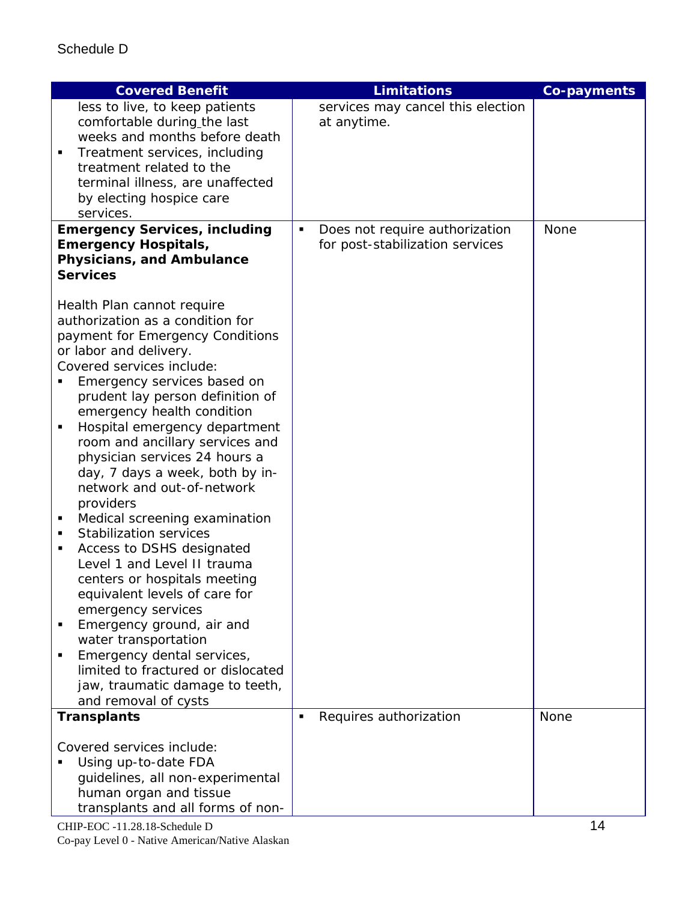| <b>Covered Benefit</b>                                                           | <b>Limitations</b>                               | <b>Co-payments</b> |
|----------------------------------------------------------------------------------|--------------------------------------------------|--------------------|
| less to live, to keep patients                                                   | services may cancel this election                |                    |
| comfortable during_the last                                                      | at anytime.                                      |                    |
| weeks and months before death<br>Treatment services, including<br>$\blacksquare$ |                                                  |                    |
| treatment related to the                                                         |                                                  |                    |
| terminal illness, are unaffected                                                 |                                                  |                    |
| by electing hospice care                                                         |                                                  |                    |
| services.                                                                        |                                                  |                    |
| <b>Emergency Services, including</b>                                             | Does not require authorization<br>$\blacksquare$ | <b>None</b>        |
| <b>Emergency Hospitals,</b><br>Physicians, and Ambulance                         | for post-stabilization services                  |                    |
| <b>Services</b>                                                                  |                                                  |                    |
|                                                                                  |                                                  |                    |
| Health Plan cannot require                                                       |                                                  |                    |
| authorization as a condition for                                                 |                                                  |                    |
| payment for Emergency Conditions                                                 |                                                  |                    |
| or labor and delivery.<br>Covered services include:                              |                                                  |                    |
| Emergency services based on                                                      |                                                  |                    |
| prudent lay person definition of                                                 |                                                  |                    |
| emergency health condition                                                       |                                                  |                    |
| Hospital emergency department<br>٠                                               |                                                  |                    |
| room and ancillary services and                                                  |                                                  |                    |
| physician services 24 hours a<br>day, 7 days a week, both by in-                 |                                                  |                    |
| network and out-of-network                                                       |                                                  |                    |
| providers                                                                        |                                                  |                    |
| Medical screening examination<br>п                                               |                                                  |                    |
| <b>Stabilization services</b><br>п                                               |                                                  |                    |
| Access to DSHS designated<br>٠<br>Level 1 and Level II trauma                    |                                                  |                    |
| centers or hospitals meeting                                                     |                                                  |                    |
| equivalent levels of care for                                                    |                                                  |                    |
| emergency services                                                               |                                                  |                    |
| Emergency ground, air and                                                        |                                                  |                    |
| water transportation                                                             |                                                  |                    |
| Emergency dental services,<br>limited to fractured or dislocated                 |                                                  |                    |
| jaw, traumatic damage to teeth,                                                  |                                                  |                    |
| and removal of cysts                                                             |                                                  |                    |
| <b>Transplants</b>                                                               | Requires authorization<br>П                      | <b>None</b>        |
|                                                                                  |                                                  |                    |
| Covered services include:                                                        |                                                  |                    |
| Using up-to-date FDA<br>guidelines, all non-experimental                         |                                                  |                    |
| human organ and tissue                                                           |                                                  |                    |
| transplants and all forms of non-                                                |                                                  |                    |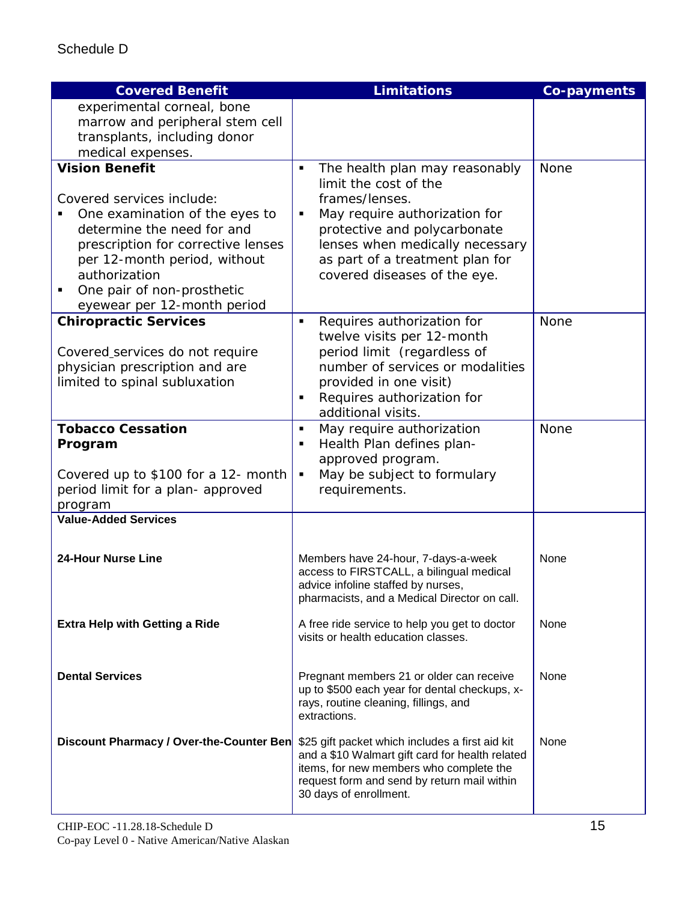| <b>Covered Benefit</b>                                         | <b>Limitations</b>                                                                         | <b>Co-payments</b> |
|----------------------------------------------------------------|--------------------------------------------------------------------------------------------|--------------------|
| experimental corneal, bone                                     |                                                                                            |                    |
| marrow and peripheral stem cell                                |                                                                                            |                    |
| transplants, including donor                                   |                                                                                            |                    |
| medical expenses.<br><b>Vision Benefit</b>                     | The health plan may reasonably<br>$\blacksquare$                                           | <b>None</b>        |
|                                                                | limit the cost of the                                                                      |                    |
| Covered services include:                                      | frames/lenses.                                                                             |                    |
| One examination of the eyes to                                 | May require authorization for<br>$\blacksquare$                                            |                    |
| determine the need for and                                     | protective and polycarbonate                                                               |                    |
| prescription for corrective lenses                             | lenses when medically necessary                                                            |                    |
| per 12-month period, without                                   | as part of a treatment plan for                                                            |                    |
| authorization                                                  | covered diseases of the eye.                                                               |                    |
| One pair of non-prosthetic<br>٠<br>eyewear per 12-month period |                                                                                            |                    |
| <b>Chiropractic Services</b>                                   | Requires authorization for<br>$\blacksquare$                                               | None               |
|                                                                | twelve visits per 12-month                                                                 |                    |
| Covered_services do not require                                | period limit (regardless of                                                                |                    |
| physician prescription and are                                 | number of services or modalities                                                           |                    |
| limited to spinal subluxation                                  | provided in one visit)                                                                     |                    |
|                                                                | Requires authorization for<br>$\blacksquare$<br>additional visits.                         |                    |
| <b>Tobacco Cessation</b>                                       | May require authorization<br>$\blacksquare$                                                | None               |
| Program                                                        | Health Plan defines plan-<br>٠                                                             |                    |
|                                                                | approved program.                                                                          |                    |
| Covered up to \$100 for a 12- month                            | May be subject to formulary<br>П                                                           |                    |
| period limit for a plan- approved                              | requirements.                                                                              |                    |
| program<br><b>Value-Added Services</b>                         |                                                                                            |                    |
|                                                                |                                                                                            |                    |
|                                                                |                                                                                            |                    |
| <b>24-Hour Nurse Line</b>                                      | Members have 24-hour, 7-days-a-week<br>access to FIRSTCALL, a bilingual medical            | None               |
|                                                                | advice infoline staffed by nurses,                                                         |                    |
|                                                                | pharmacists, and a Medical Director on call.                                               |                    |
| <b>Extra Help with Getting a Ride</b>                          | A free ride service to help you get to doctor                                              | None               |
|                                                                | visits or health education classes.                                                        |                    |
|                                                                |                                                                                            |                    |
| <b>Dental Services</b>                                         | Pregnant members 21 or older can receive                                                   | None               |
|                                                                | up to \$500 each year for dental checkups, x-                                              |                    |
|                                                                | rays, routine cleaning, fillings, and                                                      |                    |
|                                                                | extractions.                                                                               |                    |
| Discount Pharmacy / Over-the-Counter Ben                       | \$25 gift packet which includes a first aid kit                                            | None               |
|                                                                | and a \$10 Walmart gift card for health related<br>items, for new members who complete the |                    |
|                                                                | request form and send by return mail within                                                |                    |
|                                                                | 30 days of enrollment.                                                                     |                    |
|                                                                |                                                                                            |                    |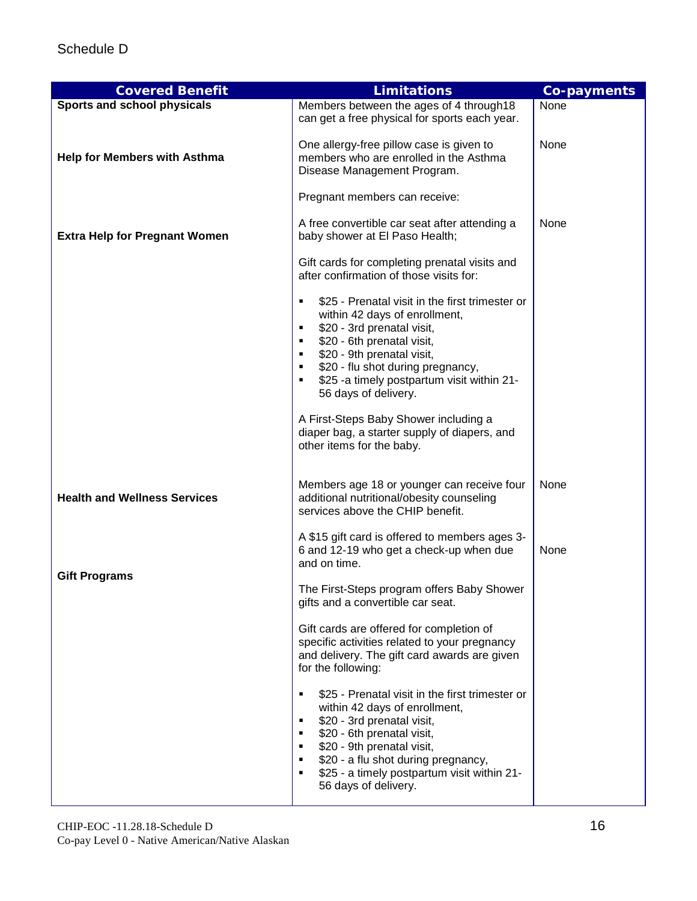| <b>Covered Benefit</b>               | <b>Limitations</b>                                                                                                                                                                                                                                                                                                                                                                                                                                     | <b>Co-payments</b> |
|--------------------------------------|--------------------------------------------------------------------------------------------------------------------------------------------------------------------------------------------------------------------------------------------------------------------------------------------------------------------------------------------------------------------------------------------------------------------------------------------------------|--------------------|
| Sports and school physicals          | Members between the ages of 4 through 18<br>can get a free physical for sports each year.                                                                                                                                                                                                                                                                                                                                                              | None               |
| <b>Help for Members with Asthma</b>  | One allergy-free pillow case is given to<br>members who are enrolled in the Asthma<br>Disease Management Program.                                                                                                                                                                                                                                                                                                                                      | None               |
|                                      | Pregnant members can receive:                                                                                                                                                                                                                                                                                                                                                                                                                          |                    |
| <b>Extra Help for Pregnant Women</b> | A free convertible car seat after attending a<br>baby shower at El Paso Health;                                                                                                                                                                                                                                                                                                                                                                        | None               |
|                                      | Gift cards for completing prenatal visits and<br>after confirmation of those visits for:                                                                                                                                                                                                                                                                                                                                                               |                    |
|                                      | \$25 - Prenatal visit in the first trimester or<br>٠<br>within 42 days of enrollment,<br>\$20 - 3rd prenatal visit,<br>٠<br>\$20 - 6th prenatal visit,<br>٠<br>\$20 - 9th prenatal visit,<br>٠<br>\$20 - flu shot during pregnancy,<br>٠<br>\$25 -a timely postpartum visit within 21-<br>$\blacksquare$<br>56 days of delivery.<br>A First-Steps Baby Shower including a<br>diaper bag, a starter supply of diapers, and<br>other items for the baby. |                    |
| <b>Health and Wellness Services</b>  | Members age 18 or younger can receive four<br>additional nutritional/obesity counseling<br>services above the CHIP benefit.                                                                                                                                                                                                                                                                                                                            | None               |
|                                      | A \$15 gift card is offered to members ages 3-<br>6 and 12-19 who get a check-up when due<br>and on time.                                                                                                                                                                                                                                                                                                                                              | None               |
| <b>Gift Programs</b>                 | The First-Steps program offers Baby Shower<br>gifts and a convertible car seat.                                                                                                                                                                                                                                                                                                                                                                        |                    |
|                                      | Gift cards are offered for completion of<br>specific activities related to your pregnancy<br>and delivery. The gift card awards are given<br>for the following:                                                                                                                                                                                                                                                                                        |                    |
|                                      | \$25 - Prenatal visit in the first trimester or<br>٠<br>within 42 days of enrollment,<br>\$20 - 3rd prenatal visit,<br>٠<br>\$20 - 6th prenatal visit,<br>٠<br>\$20 - 9th prenatal visit,<br>٠<br>\$20 - a flu shot during pregnancy,<br>٠<br>\$25 - a timely postpartum visit within 21-<br>٠<br>56 days of delivery.                                                                                                                                 |                    |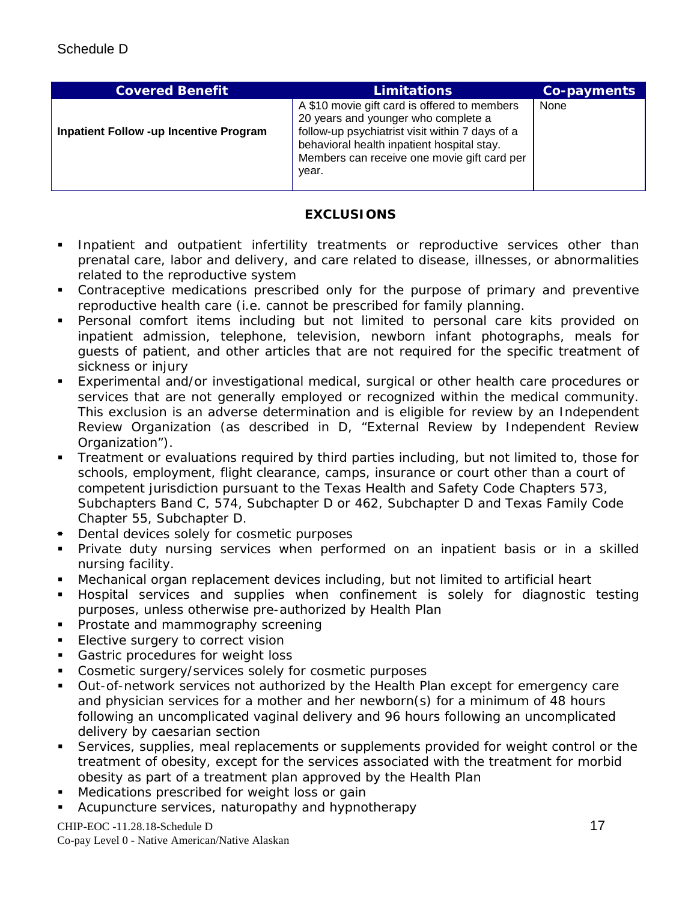| <b>Covered Benefit</b>                        | <b>Limitations</b>                                                                                                                                                                                                                           | <b>Co-payments</b> |
|-----------------------------------------------|----------------------------------------------------------------------------------------------------------------------------------------------------------------------------------------------------------------------------------------------|--------------------|
| <b>Inpatient Follow -up Incentive Program</b> | A \$10 movie gift card is offered to members<br>20 years and younger who complete a<br>follow-up psychiatrist visit within 7 days of a<br>behavioral health inpatient hospital stay.<br>Members can receive one movie gift card per<br>year. | None               |

## **EXCLUSIONS**

- **Inpatient and outpatient infertility treatments or reproductive services other than** prenatal care, labor and delivery, and care related to disease, illnesses, or abnormalities related to the reproductive system
- Contraceptive medications prescribed only for the purpose of primary and preventive reproductive health care (i.e. cannot be prescribed for family planning.
- Personal comfort items including but not limited to personal care kits provided on inpatient admission, telephone, television, newborn infant photographs, meals for guests of patient, and other articles that are not required for the specific treatment of sickness or injury
- Experimental and/or investigational medical, surgical or other health care procedures or services that are not generally employed or recognized within the medical community. This exclusion is an adverse determination and is eligible for review by an Independent Review Organization (as described in D, "External Review by Independent Review Organization").
- Treatment or evaluations required by third parties including, but not limited to, those for schools, employment, flight clearance, camps, insurance or court other than a court of competent jurisdiction pursuant to the Texas Health and Safety Code Chapters 573, Subchapters Band C, 574, Subchapter D or 462, Subchapter D and Texas Family Code Chapter 55, Subchapter D.
- **Dental devices solely for cosmetic purposes**
- Private duty nursing services when performed on an inpatient basis or in a skilled nursing facility.
- Mechanical organ replacement devices including, but not limited to artificial heart
- Hospital services and supplies when confinement is solely for diagnostic testing purposes, unless otherwise pre-authorized by Health Plan
- **Prostate and mammography screening**
- **Elective surgery to correct vision**
- Gastric procedures for weight loss
- Cosmetic surgery/services solely for cosmetic purposes
- Out-of-network services not authorized by the Health Plan except for emergency care and physician services for a mother and her newborn(s) for a minimum of 48 hours following an uncomplicated vaginal delivery and 96 hours following an uncomplicated delivery by caesarian section
- Services, supplies, meal replacements or supplements provided for weight control or the treatment of obesity, except for the services associated with the treatment for morbid obesity as part of a treatment plan approved by the Health Plan
- Medications prescribed for weight loss or gain
- **EXECUPURCACLES** Acturationathy and hypnotherapy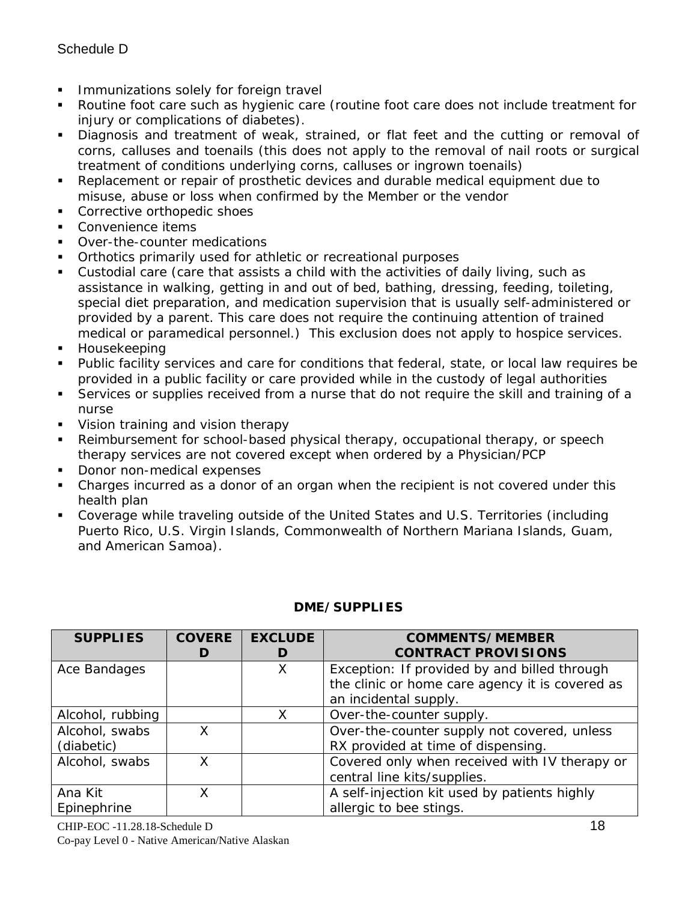- **Immunizations solely for foreign travelly**
- Routine foot care such as hygienic care (routine foot care does not include treatment for injury or complications of diabetes).
- **Diagnosis and treatment of weak, strained, or flat feet and the cutting or removal of** corns, calluses and toenails (this does not apply to the removal of nail roots or surgical treatment of conditions underlying corns, calluses or ingrown toenails)
- Replacement or repair of prosthetic devices and durable medical equipment due to misuse, abuse or loss when confirmed by the Member or the vendor
- Corrective orthopedic shoes
- Convenience items
- Over-the-counter medications
- Orthotics primarily used for athletic or recreational purposes
- Custodial care (care that assists a child with the activities of daily living, such as assistance in walking, getting in and out of bed, bathing, dressing, feeding, toileting, special diet preparation, and medication supervision that is usually self-administered or provided by a parent. This care does not require the continuing attention of trained medical or paramedical personnel.) This exclusion does not apply to hospice services.
- Housekeeping
- Public facility services and care for conditions that federal, state, or local law requires be provided in a public facility or care provided while in the custody of legal authorities
- Services or supplies received from a nurse that do not require the skill and training of a nurse
- Vision training and vision therapy
- Reimbursement for school-based physical therapy, occupational therapy, or speech therapy services are not covered except when ordered by a Physician/PCP
- Donor non-medical expenses
- Charges incurred as a donor of an organ when the recipient is not covered under this health plan
- Coverage while traveling outside of the United States and U.S. Territories (including Puerto Rico, U.S. Virgin Islands, Commonwealth of Northern Mariana Islands, Guam, and American Samoa).

| <b>SUPPLIES</b>  | <b>COVERE</b> | <b>EXCLUDE</b> | <b>COMMENTS/MEMBER</b>                          |
|------------------|---------------|----------------|-------------------------------------------------|
|                  |               |                | <b>CONTRACT PROVISIONS</b>                      |
| Ace Bandages     |               | X              | Exception: If provided by and billed through    |
|                  |               |                | the clinic or home care agency it is covered as |
|                  |               |                | an incidental supply.                           |
| Alcohol, rubbing |               | X              | Over-the-counter supply.                        |
| Alcohol, swabs   | X             |                | Over-the-counter supply not covered, unless     |
| (diabetic)       |               |                | RX provided at time of dispensing.              |
| Alcohol, swabs   |               |                | Covered only when received with IV therapy or   |
|                  |               |                | central line kits/supplies.                     |
| Ana Kit          | x             |                | A self-injection kit used by patients highly    |
| Epinephrine      |               |                | allergic to bee stings.                         |

## **DME/SUPPLIES**

CHIP-EOC -11.28.18-Schedule D 18 Co-pay Level 0 - Native American/Native Alaskan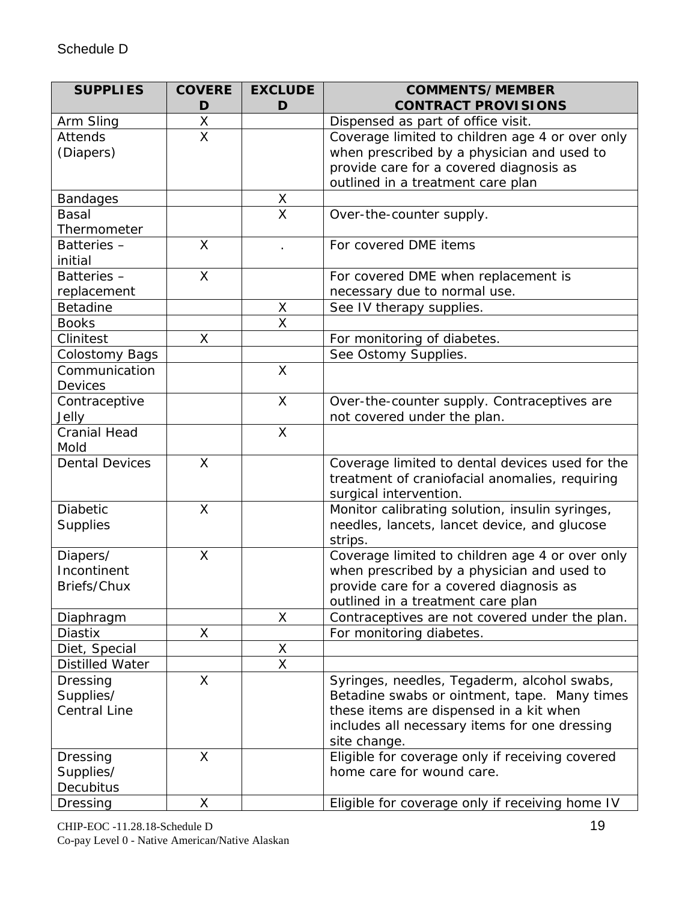| <b>SUPPLIES</b>                         | <b>COVERE</b> | <b>EXCLUDE</b>          | <b>COMMENTS/MEMBER</b>                          |
|-----------------------------------------|---------------|-------------------------|-------------------------------------------------|
|                                         | D             | D                       | <b>CONTRACT PROVISIONS</b>                      |
| Arm Sling                               | X             |                         | Dispensed as part of office visit.              |
| Attends                                 | X             |                         | Coverage limited to children age 4 or over only |
| (Diapers)                               |               |                         | when prescribed by a physician and used to      |
|                                         |               |                         | provide care for a covered diagnosis as         |
|                                         |               |                         | outlined in a treatment care plan               |
| <b>Bandages</b>                         |               | $\underline{X}$         |                                                 |
| <b>Basal</b>                            |               | $\overline{\mathsf{x}}$ | Over-the-counter supply.                        |
| Thermometer                             |               |                         |                                                 |
| Batteries-<br>initial                   | $\mathsf{X}$  |                         | For covered DME items                           |
| Batteries-                              | X             |                         | For covered DME when replacement is             |
| replacement                             |               |                         | necessary due to normal use.                    |
| Betadine                                |               | X                       | See IV therapy supplies.                        |
| <b>Books</b>                            |               | X                       |                                                 |
| Clinitest                               | X             |                         | For monitoring of diabetes.                     |
| <b>Colostomy Bags</b>                   |               |                         | See Ostomy Supplies.                            |
| Communication                           |               | X                       |                                                 |
| <b>Devices</b>                          |               |                         |                                                 |
| Contraceptive                           |               | $\mathsf{X}$            | Over-the-counter supply. Contraceptives are     |
| Jelly                                   |               |                         | not covered under the plan.                     |
| <b>Cranial Head</b>                     |               | $\mathsf{X}$            |                                                 |
| Mold                                    |               |                         |                                                 |
| <b>Dental Devices</b>                   | X             |                         | Coverage limited to dental devices used for the |
|                                         |               |                         | treatment of craniofacial anomalies, requiring  |
|                                         |               |                         | surgical intervention.                          |
| Diabetic                                | X             |                         | Monitor calibrating solution, insulin syringes, |
| <b>Supplies</b>                         |               |                         | needles, lancets, lancet device, and glucose    |
|                                         |               |                         | strips.                                         |
| Diapers/                                | X             |                         | Coverage limited to children age 4 or over only |
| Incontinent                             |               |                         | when prescribed by a physician and used to      |
| Briefs/Chux                             |               |                         | provide care for a covered diagnosis as         |
|                                         |               |                         | outlined in a treatment care plan               |
| Diaphragm                               | Χ             | X                       | Contraceptives are not covered under the plan.  |
| Diastix                                 |               |                         | For monitoring diabetes.                        |
| Diet, Special<br><b>Distilled Water</b> |               | X<br>X                  |                                                 |
| <b>Dressing</b>                         | X             |                         | Syringes, needles, Tegaderm, alcohol swabs,     |
| Supplies/                               |               |                         | Betadine swabs or ointment, tape. Many times    |
| <b>Central Line</b>                     |               |                         | these items are dispensed in a kit when         |
|                                         |               |                         | includes all necessary items for one dressing   |
|                                         |               |                         | site change.                                    |
| Dressing                                | X             |                         | Eligible for coverage only if receiving covered |
| Supplies/                               |               |                         | home care for wound care.                       |
| Decubitus                               |               |                         |                                                 |
| Dressing                                | X             |                         | Eligible for coverage only if receiving home IV |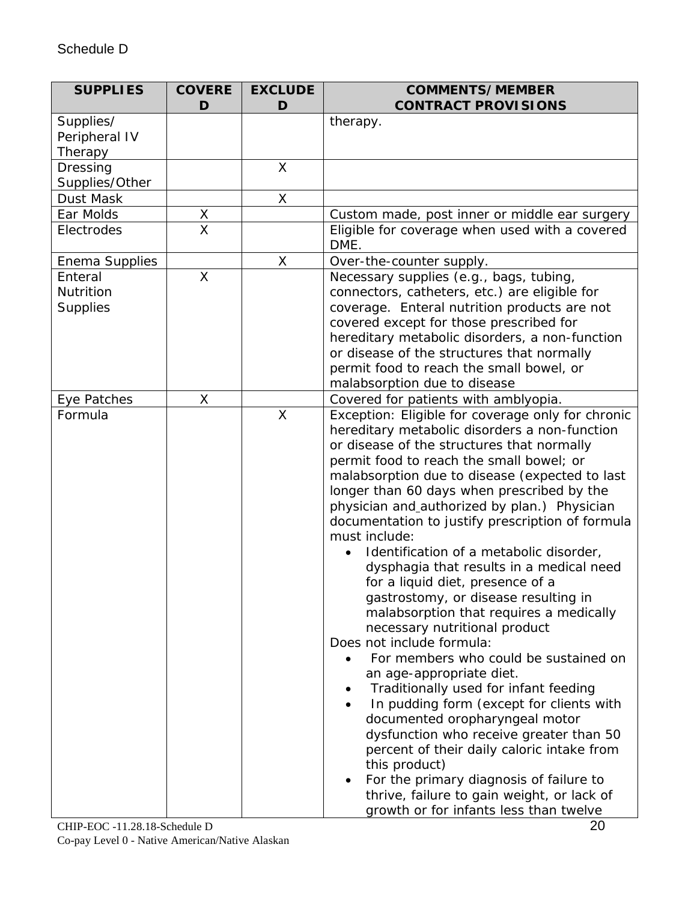| <b>SUPPLIES</b>                         | <b>COVERE</b> | <b>EXCLUDE</b> | <b>COMMENTS/MEMBER</b>                                                                                                                                                                                                                                                                                                                                                                                                                                                                                                                                                                                                                                                                                                                                                                                                                                                                                                                                                                                                                                                                                                                              |
|-----------------------------------------|---------------|----------------|-----------------------------------------------------------------------------------------------------------------------------------------------------------------------------------------------------------------------------------------------------------------------------------------------------------------------------------------------------------------------------------------------------------------------------------------------------------------------------------------------------------------------------------------------------------------------------------------------------------------------------------------------------------------------------------------------------------------------------------------------------------------------------------------------------------------------------------------------------------------------------------------------------------------------------------------------------------------------------------------------------------------------------------------------------------------------------------------------------------------------------------------------------|
|                                         | D             | D              | <b>CONTRACT PROVISIONS</b>                                                                                                                                                                                                                                                                                                                                                                                                                                                                                                                                                                                                                                                                                                                                                                                                                                                                                                                                                                                                                                                                                                                          |
| Supplies/<br>Peripheral IV<br>Therapy   |               |                | therapy.                                                                                                                                                                                                                                                                                                                                                                                                                                                                                                                                                                                                                                                                                                                                                                                                                                                                                                                                                                                                                                                                                                                                            |
| Dressing<br>Supplies/Other              |               | X              |                                                                                                                                                                                                                                                                                                                                                                                                                                                                                                                                                                                                                                                                                                                                                                                                                                                                                                                                                                                                                                                                                                                                                     |
| Dust Mask                               |               | X              |                                                                                                                                                                                                                                                                                                                                                                                                                                                                                                                                                                                                                                                                                                                                                                                                                                                                                                                                                                                                                                                                                                                                                     |
| Ear Molds                               | X             |                | Custom made, post inner or middle ear surgery                                                                                                                                                                                                                                                                                                                                                                                                                                                                                                                                                                                                                                                                                                                                                                                                                                                                                                                                                                                                                                                                                                       |
| Electrodes                              | X             |                | Eligible for coverage when used with a covered<br>DME.                                                                                                                                                                                                                                                                                                                                                                                                                                                                                                                                                                                                                                                                                                                                                                                                                                                                                                                                                                                                                                                                                              |
| Enema Supplies                          |               | X              | Over-the-counter supply.                                                                                                                                                                                                                                                                                                                                                                                                                                                                                                                                                                                                                                                                                                                                                                                                                                                                                                                                                                                                                                                                                                                            |
| Enteral<br>Nutrition<br><b>Supplies</b> | X             |                | Necessary supplies (e.g., bags, tubing,<br>connectors, catheters, etc.) are eligible for<br>coverage. Enteral nutrition products are not<br>covered except for those prescribed for<br>hereditary metabolic disorders, a non-function<br>or disease of the structures that normally<br>permit food to reach the small bowel, or<br>malabsorption due to disease                                                                                                                                                                                                                                                                                                                                                                                                                                                                                                                                                                                                                                                                                                                                                                                     |
| Eye Patches                             | X             |                | Covered for patients with amblyopia.                                                                                                                                                                                                                                                                                                                                                                                                                                                                                                                                                                                                                                                                                                                                                                                                                                                                                                                                                                                                                                                                                                                |
| Formula                                 |               | X              | Exception: Eligible for coverage only for chronic<br>hereditary metabolic disorders a non-function<br>or disease of the structures that normally<br>permit food to reach the small bowel; or<br>malabsorption due to disease (expected to last<br>longer than 60 days when prescribed by the<br>physician and authorized by plan.) Physician<br>documentation to justify prescription of formula<br>must include:<br>Identification of a metabolic disorder,<br>dysphagia that results in a medical need<br>for a liquid diet, presence of a<br>gastrostomy, or disease resulting in<br>malabsorption that requires a medically<br>necessary nutritional product<br>Does not include formula:<br>For members who could be sustained on<br>$\bullet$<br>an age-appropriate diet.<br>Traditionally used for infant feeding<br>In pudding form (except for clients with<br>documented oropharyngeal motor<br>dysfunction who receive greater than 50<br>percent of their daily caloric intake from<br>this product)<br>For the primary diagnosis of failure to<br>thrive, failure to gain weight, or lack of<br>growth or for infants less than twelve |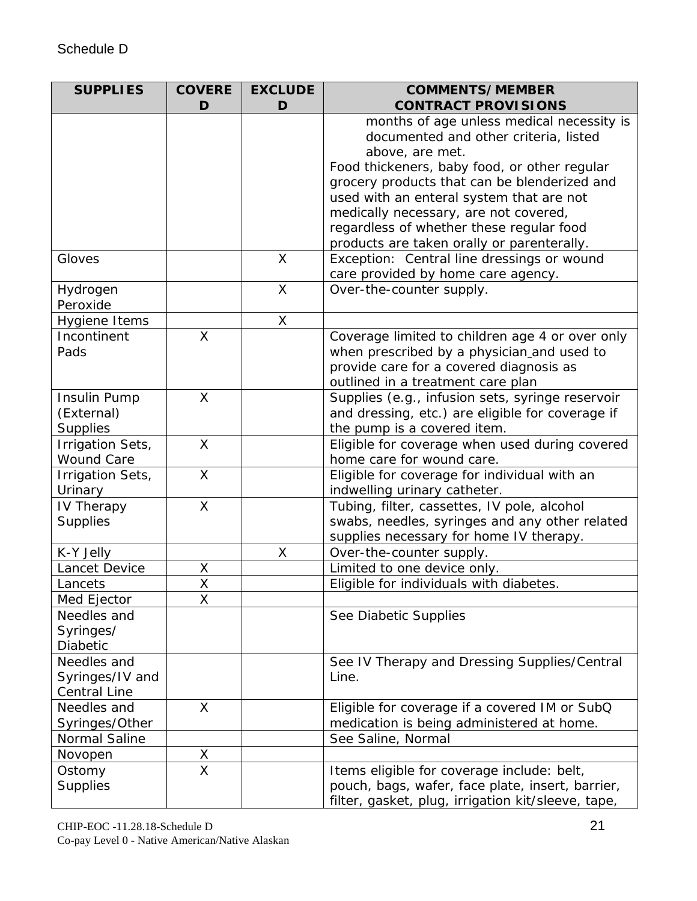| <b>SUPPLIES</b>              | <b>COVERE</b>           | <b>EXCLUDE</b> | <b>COMMENTS/MEMBER</b>                                                                        |
|------------------------------|-------------------------|----------------|-----------------------------------------------------------------------------------------------|
|                              | D                       | D              | <b>CONTRACT PROVISIONS</b>                                                                    |
|                              |                         |                | months of age unless medical necessity is                                                     |
|                              |                         |                | documented and other criteria, listed                                                         |
|                              |                         |                | above, are met.                                                                               |
|                              |                         |                | Food thickeners, baby food, or other regular                                                  |
|                              |                         |                | grocery products that can be blenderized and                                                  |
|                              |                         |                | used with an enteral system that are not                                                      |
|                              |                         |                | medically necessary, are not covered,                                                         |
|                              |                         |                | regardless of whether these regular food                                                      |
|                              |                         |                | products are taken orally or parenterally.                                                    |
| Gloves                       |                         | $\mathsf{X}$   | Exception: Central line dressings or wound                                                    |
|                              |                         |                | care provided by home care agency.                                                            |
| Hydrogen<br>Peroxide         |                         | $\mathsf{X}$   | Over-the-counter supply.                                                                      |
|                              |                         |                |                                                                                               |
| Hygiene Items<br>Incontinent | X                       | X              |                                                                                               |
| Pads                         |                         |                | Coverage limited to children age 4 or over only<br>when prescribed by a physician and used to |
|                              |                         |                | provide care for a covered diagnosis as                                                       |
|                              |                         |                | outlined in a treatment care plan                                                             |
| Insulin Pump                 | X                       |                | Supplies (e.g., infusion sets, syringe reservoir                                              |
| (External)                   |                         |                | and dressing, etc.) are eligible for coverage if                                              |
| <b>Supplies</b>              |                         |                | the pump is a covered item.                                                                   |
| Irrigation Sets,             | X                       |                | Eligible for coverage when used during covered                                                |
| <b>Wound Care</b>            |                         |                | home care for wound care.                                                                     |
| Irrigation Sets,             | X                       |                | Eligible for coverage for individual with an                                                  |
| Urinary                      |                         |                | indwelling urinary catheter.                                                                  |
| IV Therapy                   | X                       |                | Tubing, filter, cassettes, IV pole, alcohol                                                   |
| <b>Supplies</b>              |                         |                | swabs, needles, syringes and any other related                                                |
|                              |                         |                | supplies necessary for home IV therapy.                                                       |
| K-Y Jelly                    |                         | X              | Over-the-counter supply.                                                                      |
| Lancet Device                | Χ                       |                | Limited to one device only.                                                                   |
| Lancets                      | X                       |                | Eligible for individuals with diabetes.                                                       |
| Med Ejector                  | X                       |                |                                                                                               |
| Needles and                  |                         |                | See Diabetic Supplies                                                                         |
| Syringes/                    |                         |                |                                                                                               |
| Diabetic                     |                         |                |                                                                                               |
| Needles and                  |                         |                | See IV Therapy and Dressing Supplies/Central                                                  |
| Syringes/IV and              |                         |                | Line.                                                                                         |
| <b>Central Line</b>          |                         |                |                                                                                               |
| Needles and                  | $\mathsf{X}$            |                | Eligible for coverage if a covered IM or SubQ                                                 |
| Syringes/Other               |                         |                | medication is being administered at home.                                                     |
| Normal Saline                |                         |                | See Saline, Normal                                                                            |
| Novopen                      | X                       |                |                                                                                               |
| Ostomy                       | $\overline{\mathsf{x}}$ |                | Items eligible for coverage include: belt,                                                    |
| <b>Supplies</b>              |                         |                | pouch, bags, wafer, face plate, insert, barrier,                                              |
|                              |                         |                | filter, gasket, plug, irrigation kit/sleeve, tape,                                            |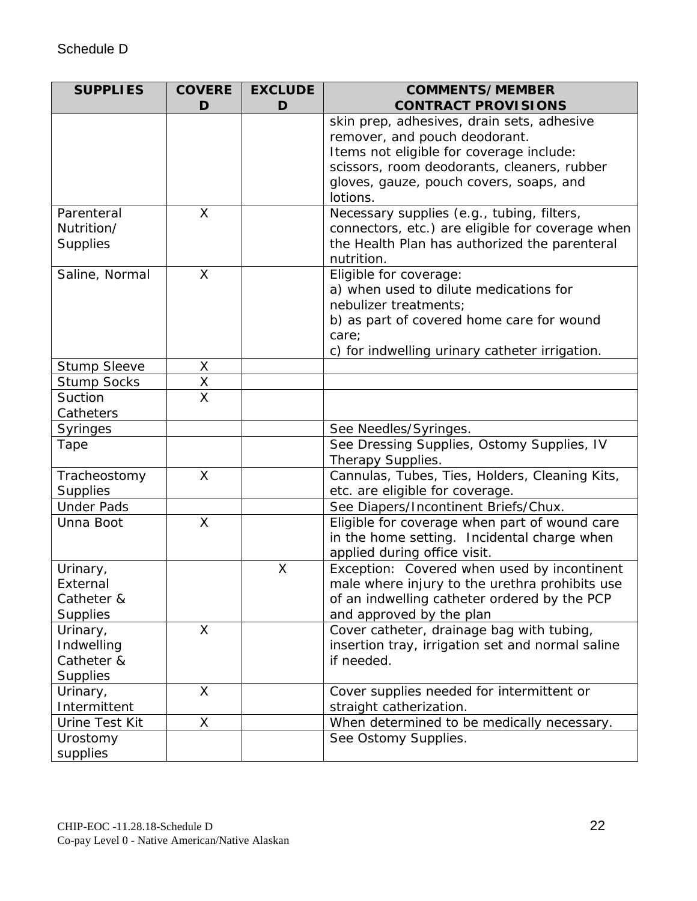| <b>SUPPLIES</b>     | <b>COVERE</b>                       | <b>EXCLUDE</b> | <b>COMMENTS/MEMBER</b><br><b>CONTRACT PROVISIONS</b> |
|---------------------|-------------------------------------|----------------|------------------------------------------------------|
|                     | D                                   | D              | skin prep, adhesives, drain sets, adhesive           |
|                     |                                     |                | remover, and pouch deodorant.                        |
|                     |                                     |                | Items not eligible for coverage include:             |
|                     |                                     |                | scissors, room deodorants, cleaners, rubber          |
|                     |                                     |                | gloves, gauze, pouch covers, soaps, and              |
|                     |                                     |                | lotions.                                             |
| Parenteral          | X                                   |                | Necessary supplies (e.g., tubing, filters,           |
| Nutrition/          |                                     |                | connectors, etc.) are eligible for coverage when     |
| <b>Supplies</b>     |                                     |                | the Health Plan has authorized the parenteral        |
|                     |                                     |                | nutrition.                                           |
| Saline, Normal      | X                                   |                | Eligible for coverage:                               |
|                     |                                     |                | a) when used to dilute medications for               |
|                     |                                     |                | nebulizer treatments;                                |
|                     |                                     |                | b) as part of covered home care for wound            |
|                     |                                     |                | care;                                                |
|                     |                                     |                | c) for indwelling urinary catheter irrigation.       |
| <b>Stump Sleeve</b> | X                                   |                |                                                      |
| <b>Stump Socks</b>  | $\frac{\overline{X}}{\overline{X}}$ |                |                                                      |
| Suction             |                                     |                |                                                      |
| Catheters           |                                     |                |                                                      |
| <b>Syringes</b>     |                                     |                | See Needles/Syringes.                                |
| Tape                |                                     |                | See Dressing Supplies, Ostomy Supplies, IV           |
|                     |                                     |                | Therapy Supplies.                                    |
| Tracheostomy        | X                                   |                | Cannulas, Tubes, Ties, Holders, Cleaning Kits,       |
| <b>Supplies</b>     |                                     |                | etc. are eligible for coverage.                      |
| <b>Under Pads</b>   |                                     |                | See Diapers/Incontinent Briefs/Chux.                 |
| Unna Boot           | $\mathsf{X}$                        |                | Eligible for coverage when part of wound care        |
|                     |                                     |                | in the home setting. Incidental charge when          |
|                     |                                     |                | applied during office visit.                         |
| Urinary,            |                                     | X              | Exception: Covered when used by incontinent          |
| External            |                                     |                | male where injury to the urethra prohibits use       |
| Catheter &          |                                     |                | of an indwelling catheter ordered by the PCP         |
| <b>Supplies</b>     |                                     |                | and approved by the plan                             |
| Urinary,            | X                                   |                | Cover catheter, drainage bag with tubing,            |
| Indwelling          |                                     |                | insertion tray, irrigation set and normal saline     |
| Catheter &          |                                     |                | if needed.                                           |
| <b>Supplies</b>     |                                     |                |                                                      |
| Urinary,            | X                                   |                | Cover supplies needed for intermittent or            |
| Intermittent        |                                     |                | straight catherization.                              |
| Urine Test Kit      | X                                   |                | When determined to be medically necessary.           |
| Urostomy            |                                     |                | See Ostomy Supplies.                                 |
| supplies            |                                     |                |                                                      |